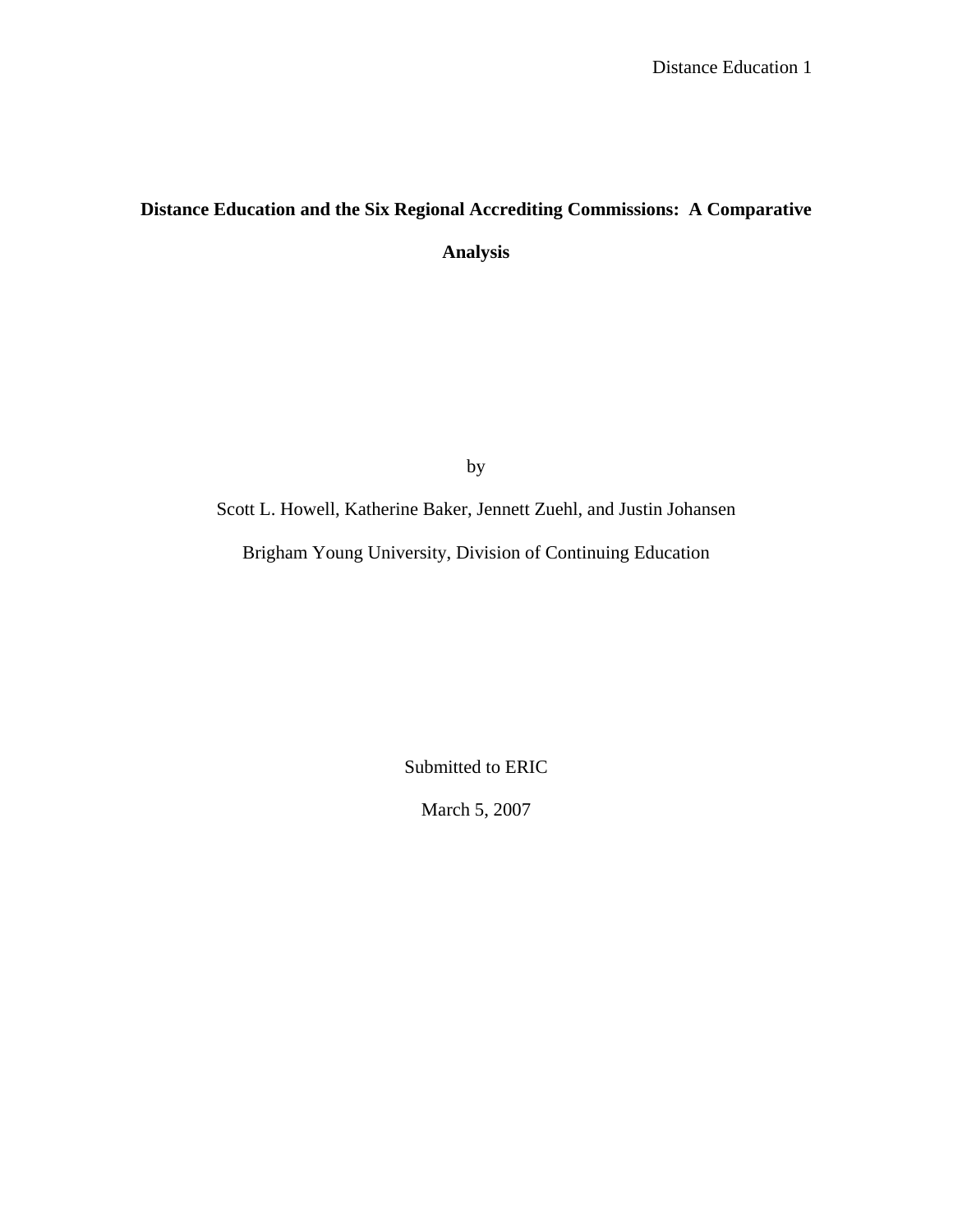# **Distance Education and the Six Regional Accrediting Commissions: A Comparative Analysis**

by

Scott L. Howell, Katherine Baker, Jennett Zuehl, and Justin Johansen

Brigham Young University, Division of Continuing Education

Submitted to ERIC

March 5, 2007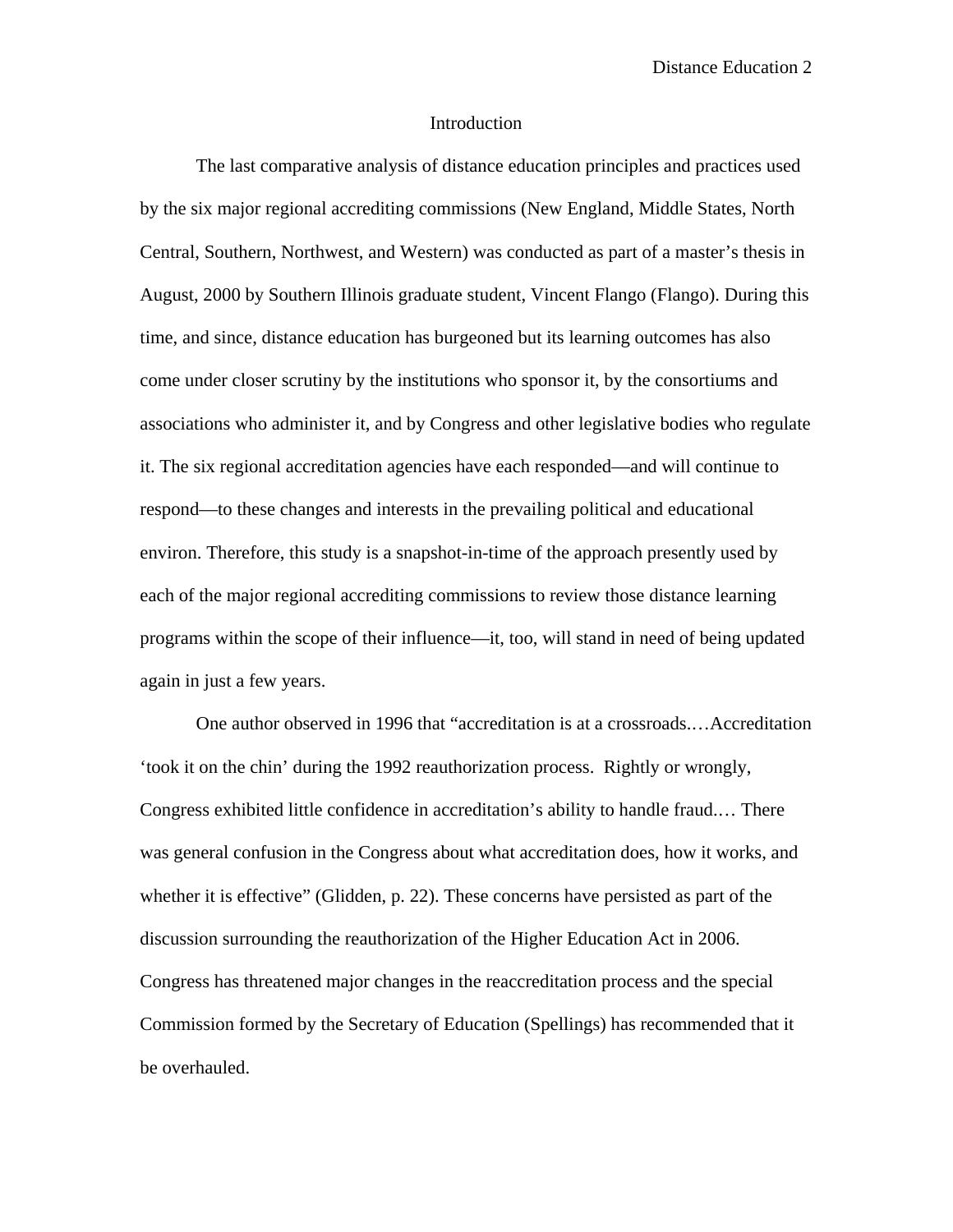## Introduction

The last comparative analysis of distance education principles and practices used by the six major regional accrediting commissions (New England, Middle States, North Central, Southern, Northwest, and Western) was conducted as part of a master's thesis in August, 2000 by Southern Illinois graduate student, Vincent Flango (Flango). During this time, and since, distance education has burgeoned but its learning outcomes has also come under closer scrutiny by the institutions who sponsor it, by the consortiums and associations who administer it, and by Congress and other legislative bodies who regulate it. The six regional accreditation agencies have each responded—and will continue to respond—to these changes and interests in the prevailing political and educational environ. Therefore, this study is a snapshot-in-time of the approach presently used by each of the major regional accrediting commissions to review those distance learning programs within the scope of their influence—it, too, will stand in need of being updated again in just a few years.

One author observed in 1996 that "accreditation is at a crossroads.…Accreditation 'took it on the chin' during the 1992 reauthorization process. Rightly or wrongly, Congress exhibited little confidence in accreditation's ability to handle fraud.… There was general confusion in the Congress about what accreditation does, how it works, and whether it is effective" (Glidden, p. 22). These concerns have persisted as part of the discussion surrounding the reauthorization of the Higher Education Act in 2006. Congress has threatened major changes in the reaccreditation process and the special Commission formed by the Secretary of Education (Spellings) has recommended that it be overhauled.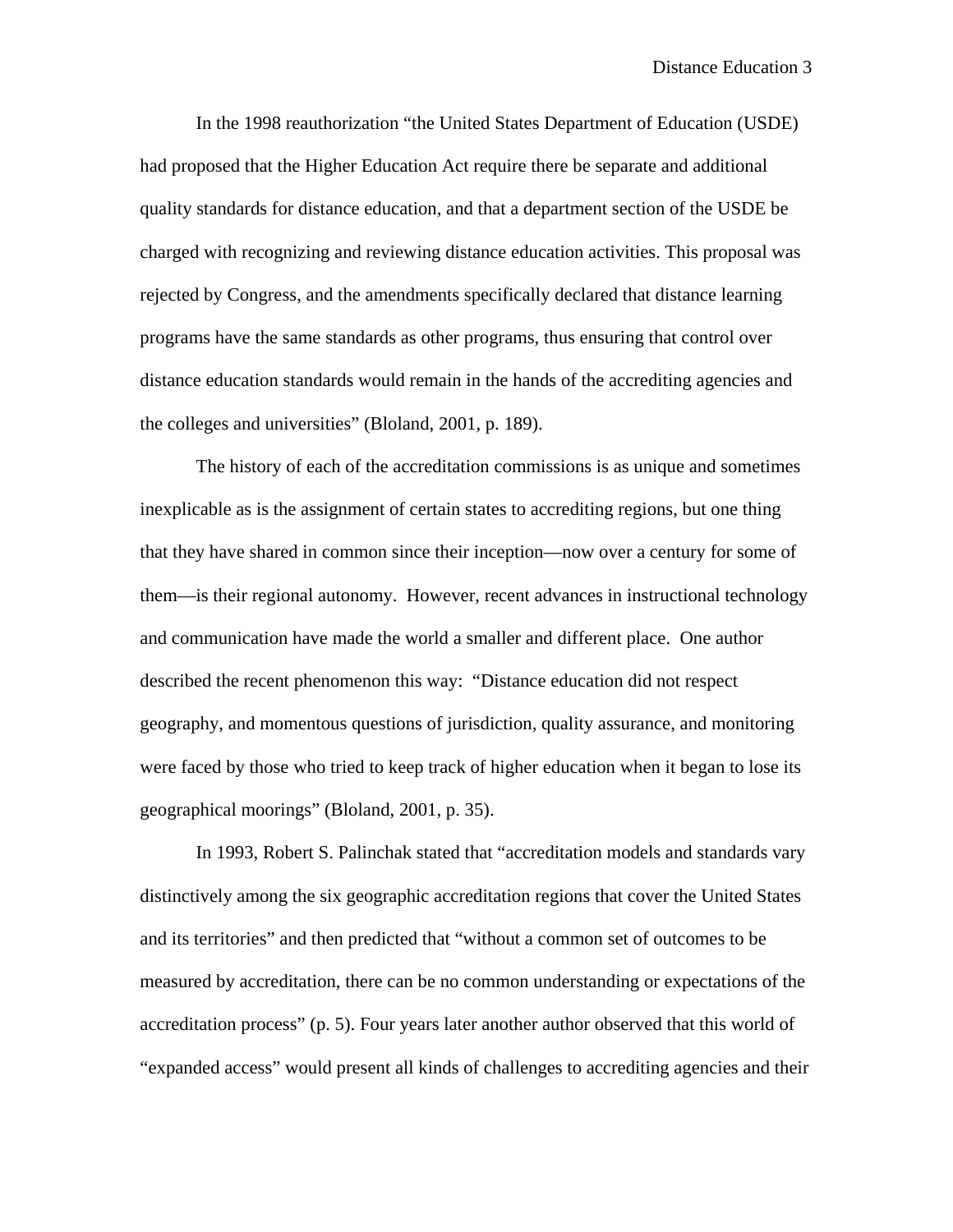In the 1998 reauthorization "the United States Department of Education (USDE) had proposed that the Higher Education Act require there be separate and additional quality standards for distance education, and that a department section of the USDE be charged with recognizing and reviewing distance education activities. This proposal was rejected by Congress, and the amendments specifically declared that distance learning programs have the same standards as other programs, thus ensuring that control over distance education standards would remain in the hands of the accrediting agencies and the colleges and universities" (Bloland, 2001, p. 189).

The history of each of the accreditation commissions is as unique and sometimes inexplicable as is the assignment of certain states to accrediting regions, but one thing that they have shared in common since their inception—now over a century for some of them—is their regional autonomy. However, recent advances in instructional technology and communication have made the world a smaller and different place. One author described the recent phenomenon this way: "Distance education did not respect geography, and momentous questions of jurisdiction, quality assurance, and monitoring were faced by those who tried to keep track of higher education when it began to lose its geographical moorings" (Bloland, 2001, p. 35).

In 1993, Robert S. Palinchak stated that "accreditation models and standards vary distinctively among the six geographic accreditation regions that cover the United States and its territories" and then predicted that "without a common set of outcomes to be measured by accreditation, there can be no common understanding or expectations of the accreditation process" (p. 5). Four years later another author observed that this world of "expanded access" would present all kinds of challenges to accrediting agencies and their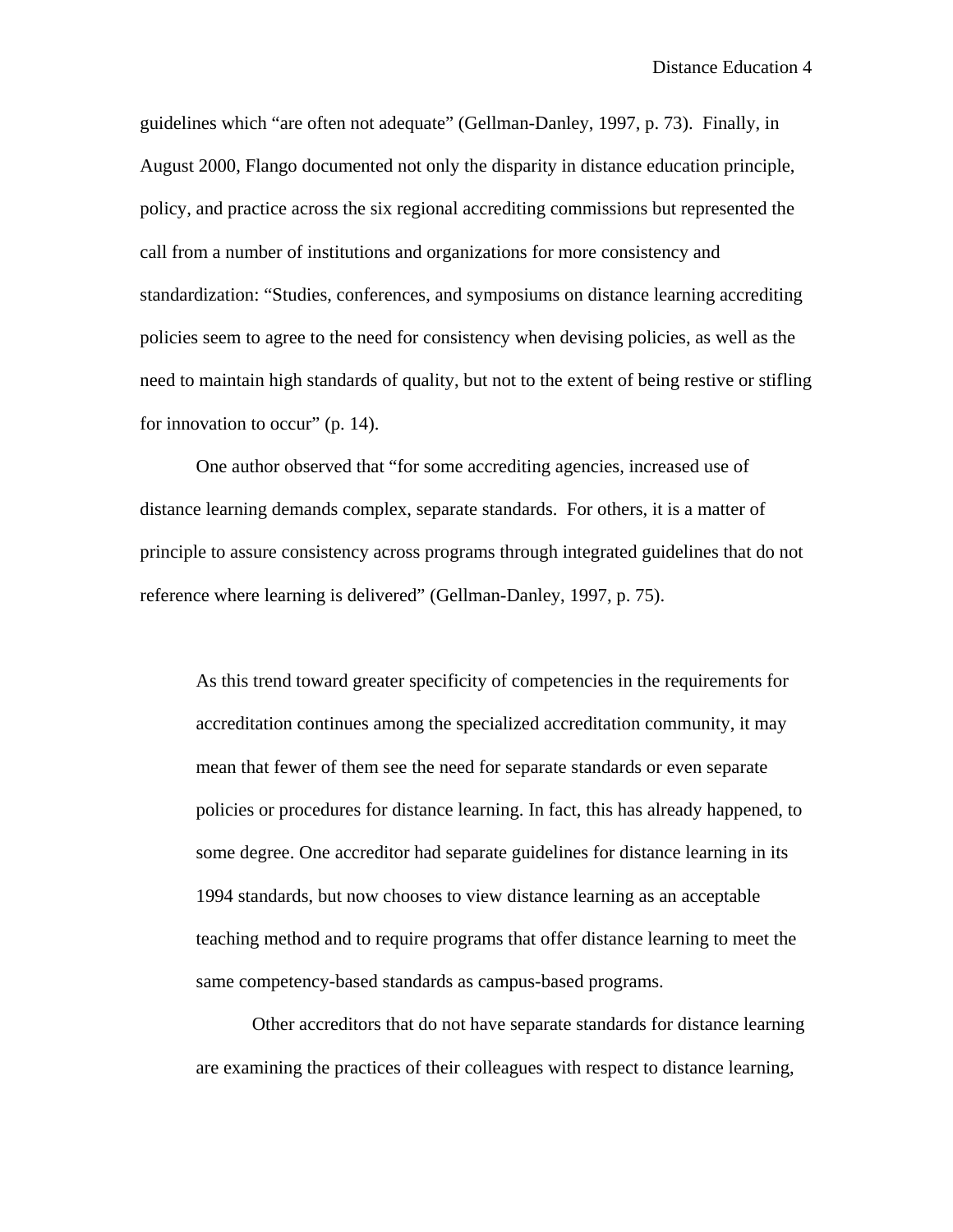guidelines which "are often not adequate" (Gellman-Danley, 1997, p. 73). Finally, in August 2000, Flango documented not only the disparity in distance education principle, policy, and practice across the six regional accrediting commissions but represented the call from a number of institutions and organizations for more consistency and standardization: "Studies, conferences, and symposiums on distance learning accrediting policies seem to agree to the need for consistency when devising policies, as well as the need to maintain high standards of quality, but not to the extent of being restive or stifling for innovation to occur" (p. 14).

One author observed that "for some accrediting agencies, increased use of distance learning demands complex, separate standards. For others, it is a matter of principle to assure consistency across programs through integrated guidelines that do not reference where learning is delivered" (Gellman-Danley, 1997, p. 75).

As this trend toward greater specificity of competencies in the requirements for accreditation continues among the specialized accreditation community, it may mean that fewer of them see the need for separate standards or even separate policies or procedures for distance learning. In fact, this has already happened, to some degree. One accreditor had separate guidelines for distance learning in its 1994 standards, but now chooses to view distance learning as an acceptable teaching method and to require programs that offer distance learning to meet the same competency-based standards as campus-based programs.

 Other accreditors that do not have separate standards for distance learning are examining the practices of their colleagues with respect to distance learning,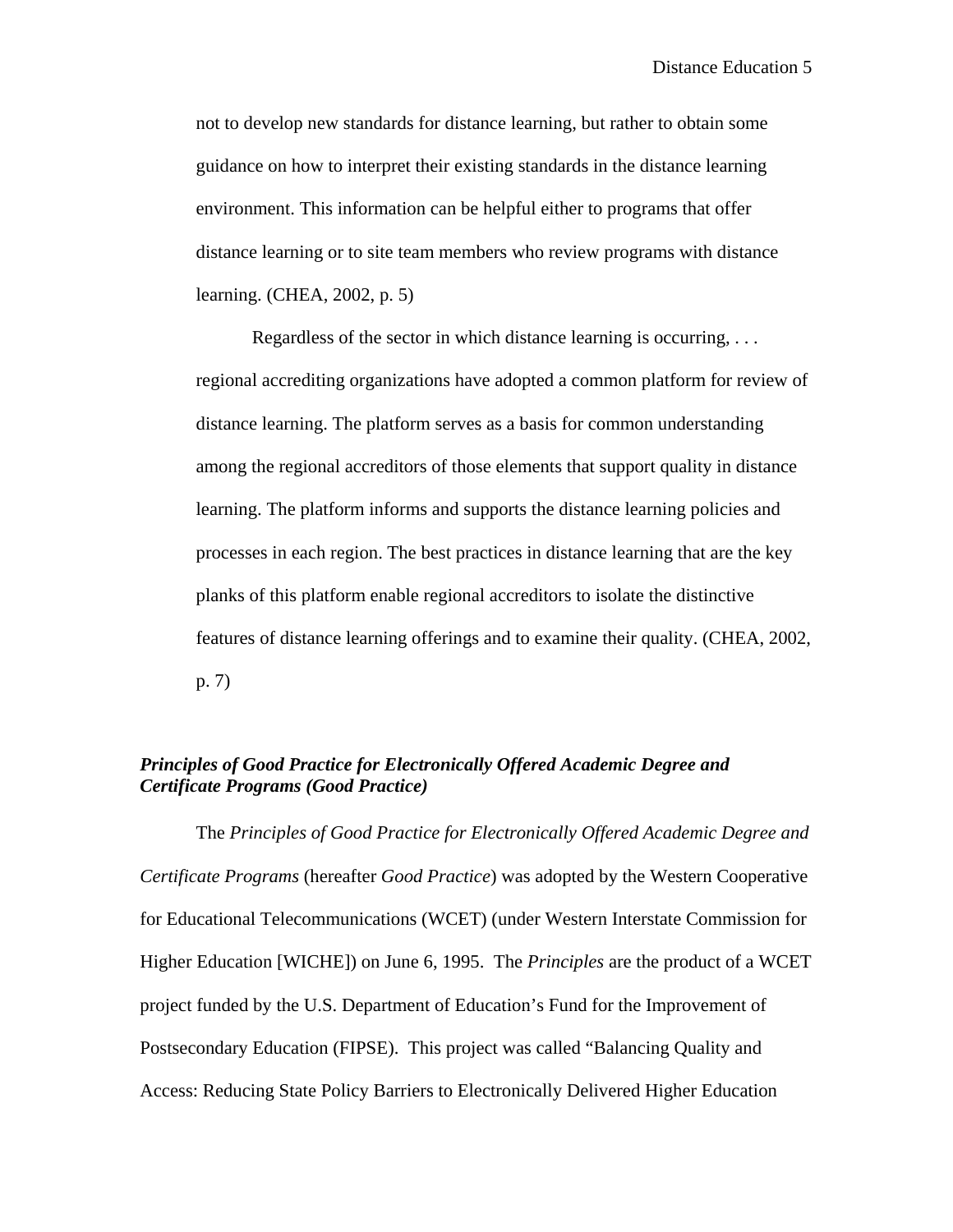not to develop new standards for distance learning, but rather to obtain some guidance on how to interpret their existing standards in the distance learning environment. This information can be helpful either to programs that offer distance learning or to site team members who review programs with distance learning. (CHEA, 2002, p. 5)

 Regardless of the sector in which distance learning is occurring, . . . regional accrediting organizations have adopted a common platform for review of distance learning. The platform serves as a basis for common understanding among the regional accreditors of those elements that support quality in distance learning. The platform informs and supports the distance learning policies and processes in each region. The best practices in distance learning that are the key planks of this platform enable regional accreditors to isolate the distinctive features of distance learning offerings and to examine their quality. (CHEA, 2002, p. 7)

## *Principles of Good Practice for Electronically Offered Academic Degree and Certificate Programs (Good Practice)*

The *Principles of Good Practice for Electronically Offered Academic Degree and Certificate Programs* (hereafter *Good Practice*) was adopted by the Western Cooperative for Educational Telecommunications (WCET) (under Western Interstate Commission for Higher Education [WICHE]) on June 6, 1995. The *Principles* are the product of a WCET project funded by the U.S. Department of Education's Fund for the Improvement of Postsecondary Education (FIPSE). This project was called "Balancing Quality and Access: Reducing State Policy Barriers to Electronically Delivered Higher Education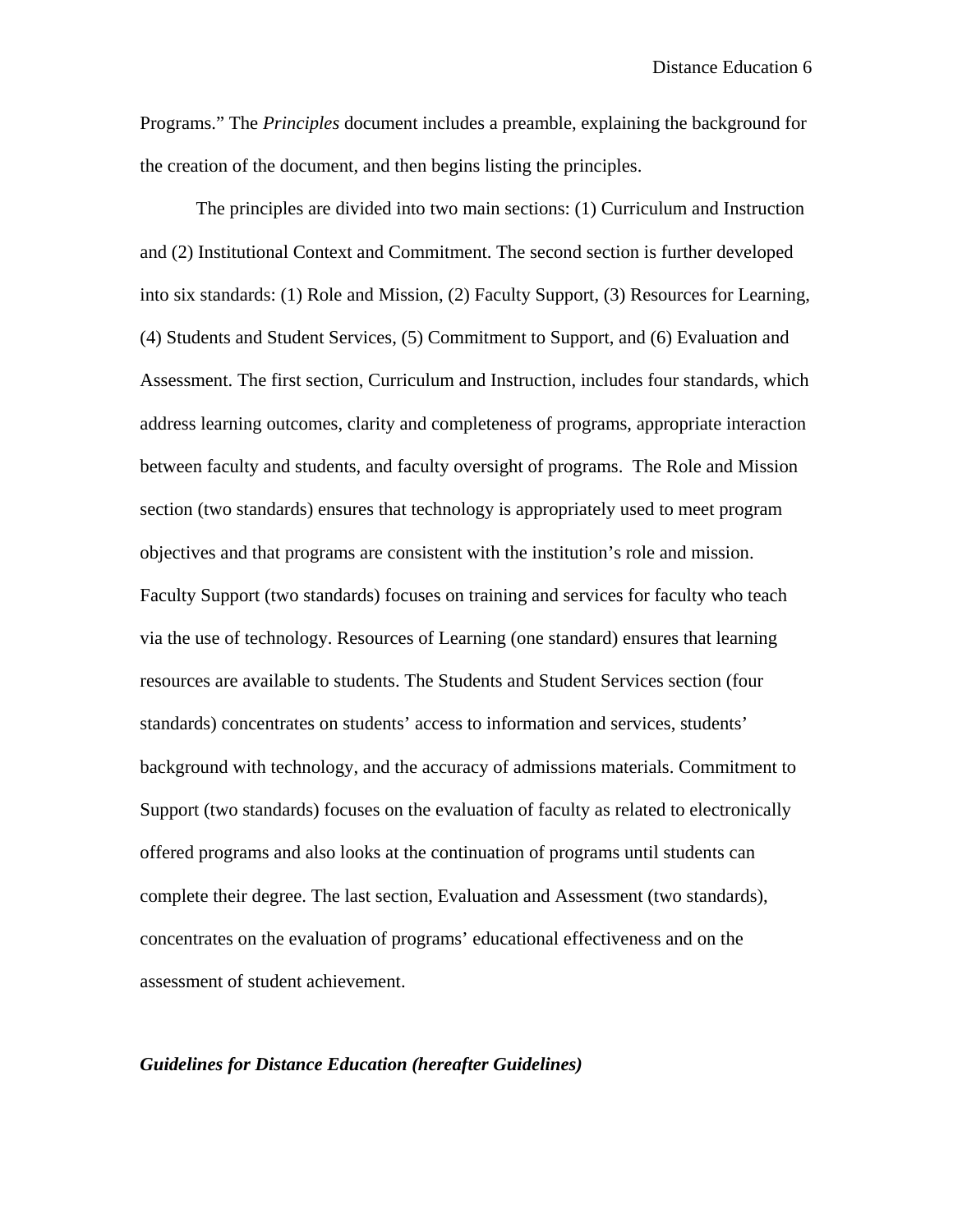Programs." The *Principles* document includes a preamble, explaining the background for the creation of the document, and then begins listing the principles.

 The principles are divided into two main sections: (1) Curriculum and Instruction and (2) Institutional Context and Commitment. The second section is further developed into six standards: (1) Role and Mission, (2) Faculty Support, (3) Resources for Learning, (4) Students and Student Services, (5) Commitment to Support, and (6) Evaluation and Assessment. The first section, Curriculum and Instruction, includes four standards, which address learning outcomes, clarity and completeness of programs, appropriate interaction between faculty and students, and faculty oversight of programs. The Role and Mission section (two standards) ensures that technology is appropriately used to meet program objectives and that programs are consistent with the institution's role and mission. Faculty Support (two standards) focuses on training and services for faculty who teach via the use of technology. Resources of Learning (one standard) ensures that learning resources are available to students. The Students and Student Services section (four standards) concentrates on students' access to information and services, students' background with technology, and the accuracy of admissions materials. Commitment to Support (two standards) focuses on the evaluation of faculty as related to electronically offered programs and also looks at the continuation of programs until students can complete their degree. The last section, Evaluation and Assessment (two standards), concentrates on the evaluation of programs' educational effectiveness and on the assessment of student achievement.

#### *Guidelines for Distance Education (hereafter Guidelines)*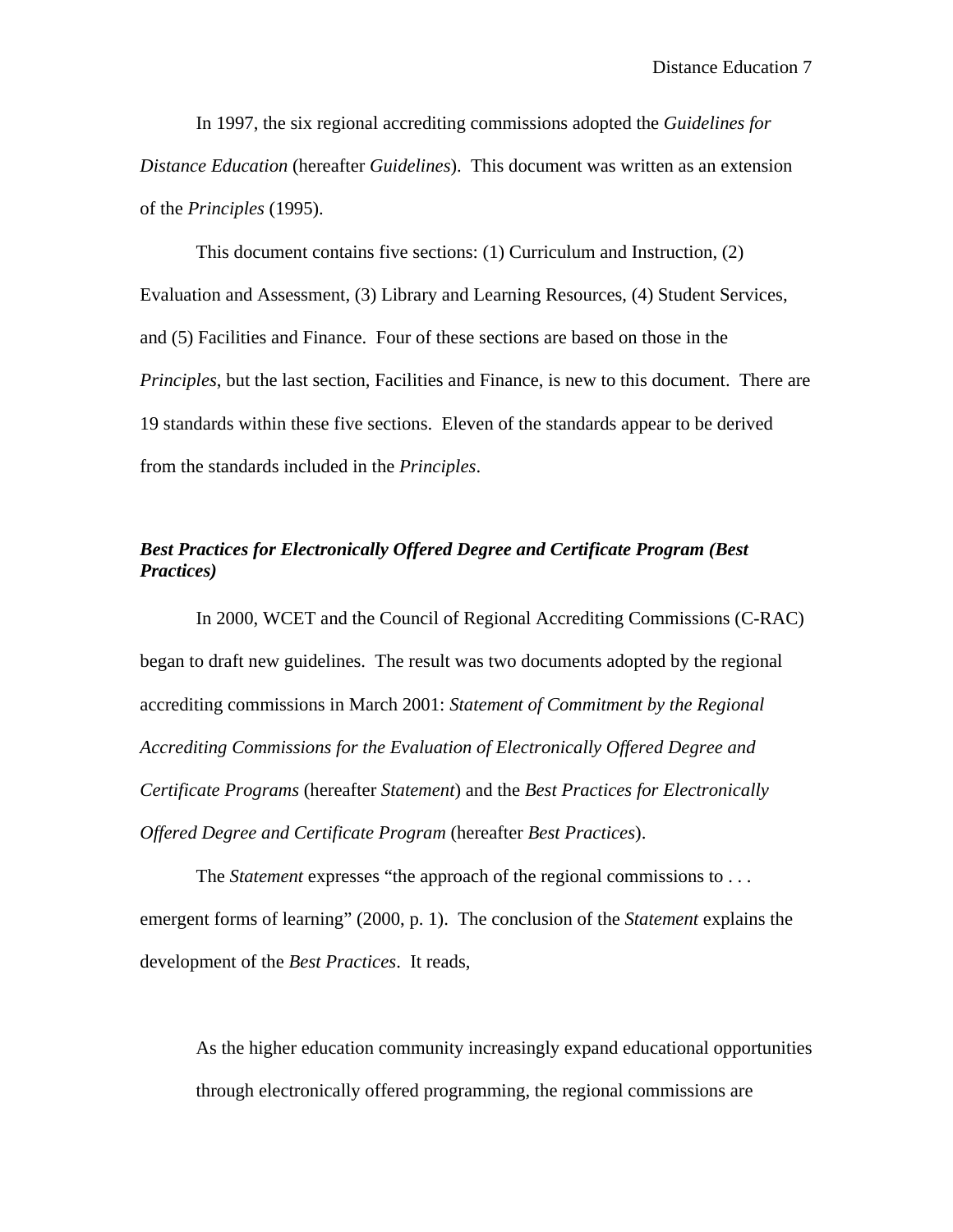In 1997, the six regional accrediting commissions adopted the *Guidelines for Distance Education* (hereafter *Guidelines*). This document was written as an extension of the *Principles* (1995).

 This document contains five sections: (1) Curriculum and Instruction, (2) Evaluation and Assessment, (3) Library and Learning Resources, (4) Student Services, and (5) Facilities and Finance. Four of these sections are based on those in the *Principles*, but the last section, Facilities and Finance, is new to this document. There are 19 standards within these five sections. Eleven of the standards appear to be derived from the standards included in the *Principles*.

## *Best Practices for Electronically Offered Degree and Certificate Program (Best Practices)*

In 2000, WCET and the Council of Regional Accrediting Commissions (C-RAC) began to draft new guidelines. The result was two documents adopted by the regional accrediting commissions in March 2001: *Statement of Commitment by the Regional Accrediting Commissions for the Evaluation of Electronically Offered Degree and Certificate Programs* (hereafter *Statement*) and the *Best Practices for Electronically Offered Degree and Certificate Program* (hereafter *Best Practices*).

The *Statement* expresses "the approach of the regional commissions to . . . emergent forms of learning" (2000, p. 1). The conclusion of the *Statement* explains the development of the *Best Practices*. It reads,

As the higher education community increasingly expand educational opportunities through electronically offered programming, the regional commissions are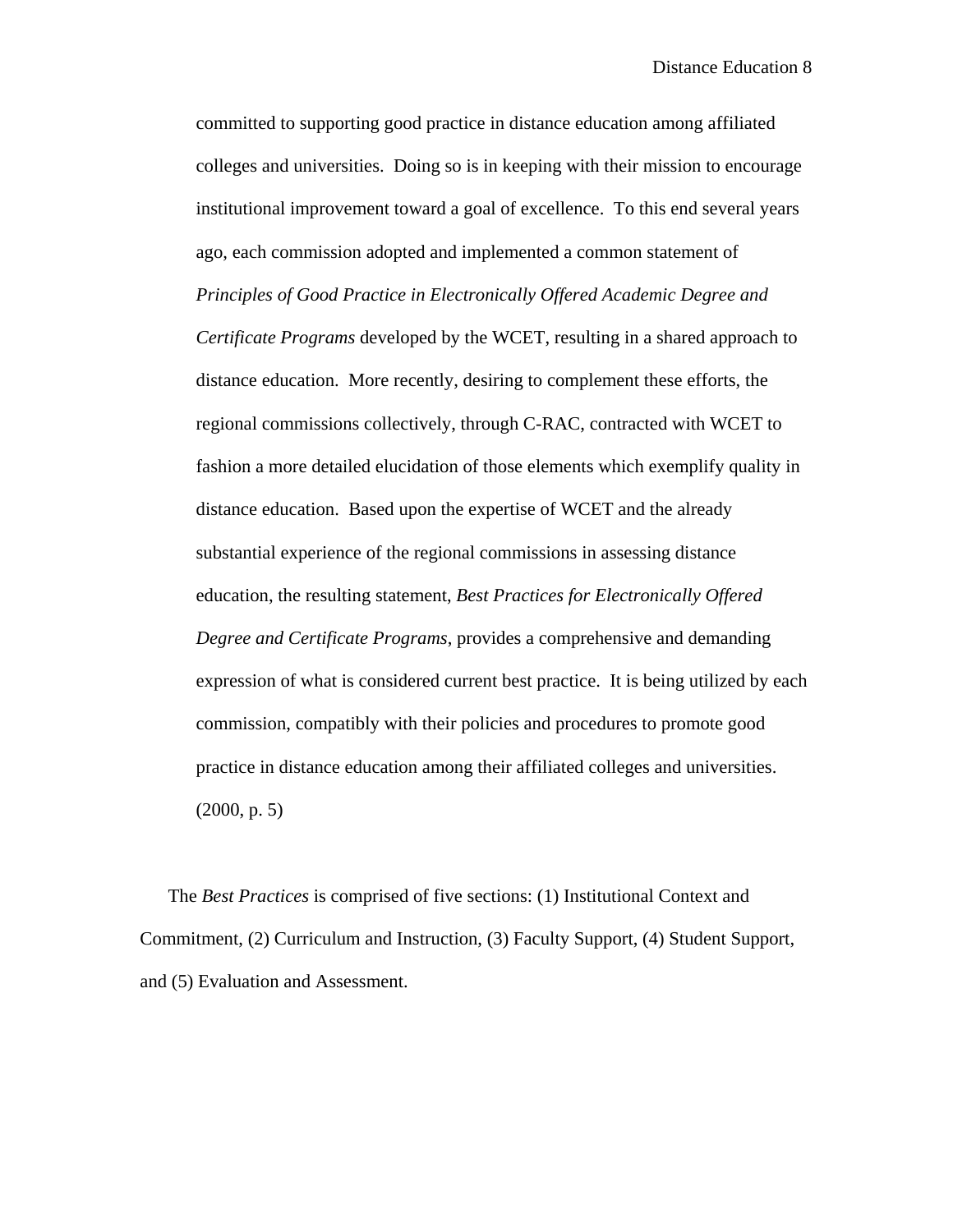committed to supporting good practice in distance education among affiliated colleges and universities. Doing so is in keeping with their mission to encourage institutional improvement toward a goal of excellence. To this end several years ago, each commission adopted and implemented a common statement of *Principles of Good Practice in Electronically Offered Academic Degree and Certificate Programs* developed by the WCET, resulting in a shared approach to distance education. More recently, desiring to complement these efforts, the regional commissions collectively, through C-RAC, contracted with WCET to fashion a more detailed elucidation of those elements which exemplify quality in distance education. Based upon the expertise of WCET and the already substantial experience of the regional commissions in assessing distance education, the resulting statement, *Best Practices for Electronically Offered Degree and Certificate Programs*, provides a comprehensive and demanding expression of what is considered current best practice. It is being utilized by each commission, compatibly with their policies and procedures to promote good practice in distance education among their affiliated colleges and universities. (2000, p. 5)

The *Best Practices* is comprised of five sections: (1) Institutional Context and Commitment, (2) Curriculum and Instruction, (3) Faculty Support, (4) Student Support, and (5) Evaluation and Assessment.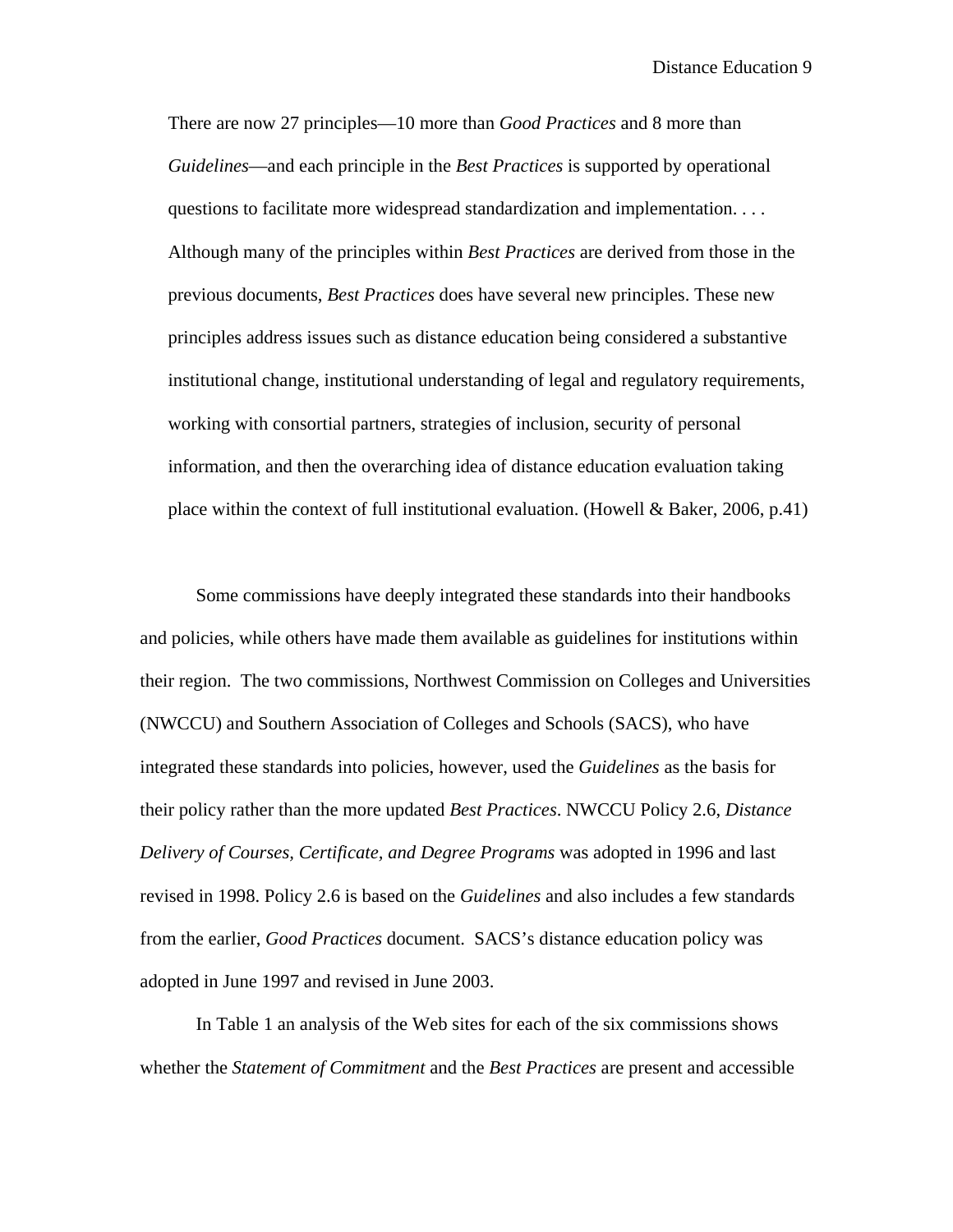There are now 27 principles—10 more than *Good Practices* and 8 more than *Guidelines*—and each principle in the *Best Practices* is supported by operational questions to facilitate more widespread standardization and implementation. . . . Although many of the principles within *Best Practices* are derived from those in the previous documents, *Best Practices* does have several new principles. These new principles address issues such as distance education being considered a substantive institutional change, institutional understanding of legal and regulatory requirements, working with consortial partners, strategies of inclusion, security of personal information, and then the overarching idea of distance education evaluation taking place within the context of full institutional evaluation. (Howell & Baker, 2006, p.41)

 Some commissions have deeply integrated these standards into their handbooks and policies, while others have made them available as guidelines for institutions within their region. The two commissions, Northwest Commission on Colleges and Universities (NWCCU) and Southern Association of Colleges and Schools (SACS), who have integrated these standards into policies, however, used the *Guidelines* as the basis for their policy rather than the more updated *Best Practices*. NWCCU Policy 2.6, *Distance Delivery of Courses, Certificate, and Degree Programs* was adopted in 1996 and last revised in 1998. Policy 2.6 is based on the *Guidelines* and also includes a few standards from the earlier, *Good Practices* document. SACS's distance education policy was adopted in June 1997 and revised in June 2003.

 In Table 1 an analysis of the Web sites for each of the six commissions shows whether the *Statement of Commitment* and the *Best Practices* are present and accessible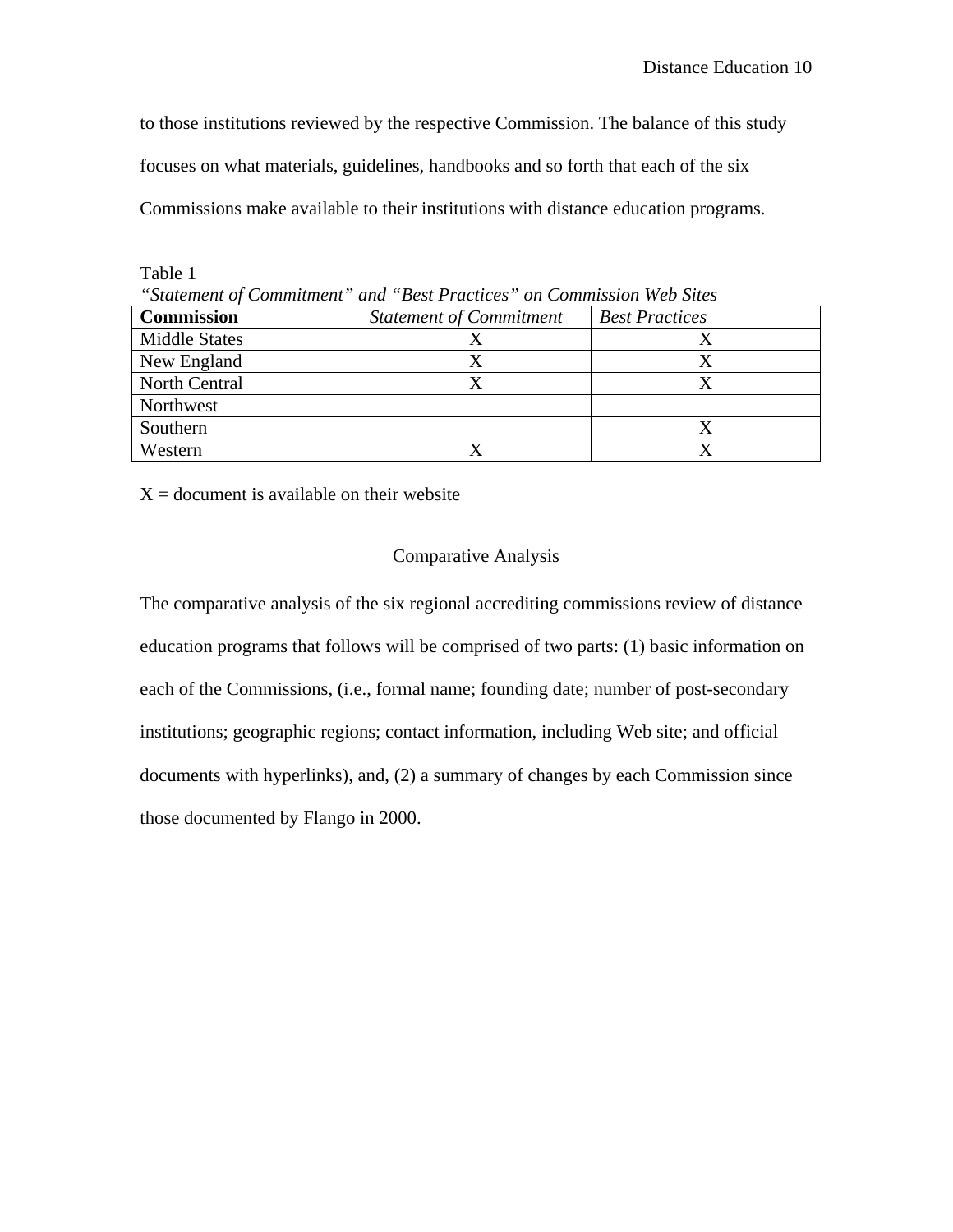to those institutions reviewed by the respective Commission. The balance of this study focuses on what materials, guidelines, handbooks and so forth that each of the six Commissions make available to their institutions with distance education programs.

Table 1 *"Statement of Commitment" and "Best Practices" on Commission Web Sites*  **Commission** *Statement of Commitment Best Practices* Middle States X X New England X X X North Central X X X **Northwest** Southern X Western X X X

 $X =$  document is available on their website

## Comparative Analysis

The comparative analysis of the six regional accrediting commissions review of distance education programs that follows will be comprised of two parts: (1) basic information on each of the Commissions, (i.e., formal name; founding date; number of post-secondary institutions; geographic regions; contact information, including Web site; and official documents with hyperlinks), and, (2) a summary of changes by each Commission since those documented by Flango in 2000.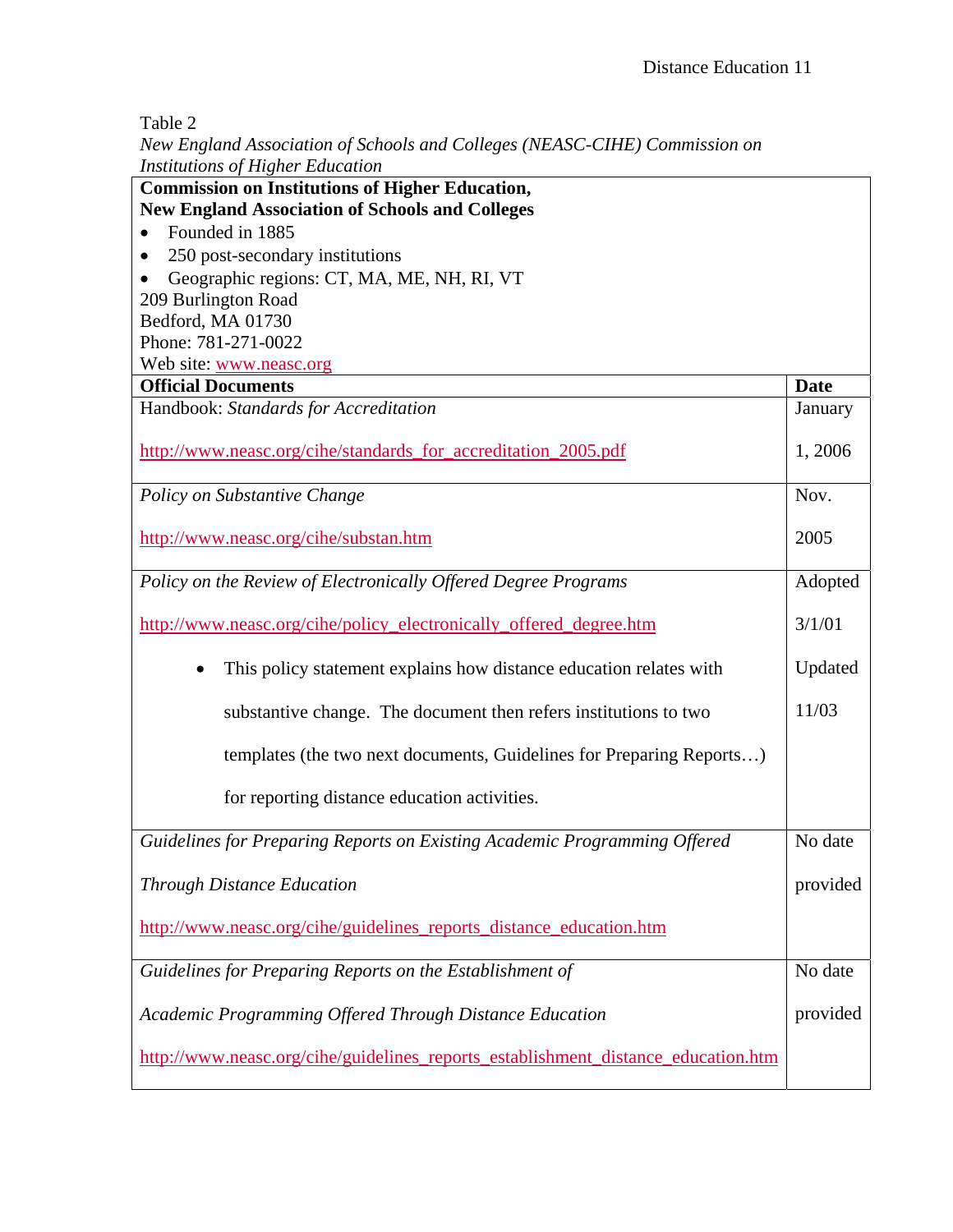Table 2

*New England Association of Schools and Colleges (NEASC-CIHE) Commission on Institutions of Higher Education*

| Institutions of Higner Education<br><b>Commission on Institutions of Higher Education,</b> |             |
|--------------------------------------------------------------------------------------------|-------------|
| <b>New England Association of Schools and Colleges</b>                                     |             |
| Founded in 1885                                                                            |             |
| 250 post-secondary institutions                                                            |             |
| Geographic regions: CT, MA, ME, NH, RI, VT                                                 |             |
| 209 Burlington Road                                                                        |             |
| Bedford, MA 01730                                                                          |             |
| Phone: 781-271-0022                                                                        |             |
| Web site: www.neasc.org                                                                    |             |
| <b>Official Documents</b>                                                                  | <b>Date</b> |
| Handbook: Standards for Accreditation                                                      | January     |
|                                                                                            |             |
| http://www.neasc.org/cihe/standards_for_accreditation_2005.pdf                             | 1, 2006     |
|                                                                                            |             |
| Policy on Substantive Change                                                               | Nov.        |
|                                                                                            |             |
| http://www.neasc.org/cihe/substan.htm                                                      | 2005        |
|                                                                                            |             |
| Policy on the Review of Electronically Offered Degree Programs                             | Adopted     |
|                                                                                            |             |
| http://www.neasc.org/cihe/policy_electronically_offered_degree.htm                         | 3/1/01      |
|                                                                                            |             |
| This policy statement explains how distance education relates with                         | Updated     |
| substantive change. The document then refers institutions to two                           | 11/03       |
|                                                                                            |             |
| templates (the two next documents, Guidelines for Preparing Reports)                       |             |
|                                                                                            |             |
| for reporting distance education activities.                                               |             |
|                                                                                            |             |
| Guidelines for Preparing Reports on Existing Academic Programming Offered                  | No date     |
|                                                                                            |             |
| <b>Through Distance Education</b>                                                          | provided    |
|                                                                                            |             |
| http://www.neasc.org/cihe/guidelines_reports_distance_education.htm                        |             |
|                                                                                            |             |
| Guidelines for Preparing Reports on the Establishment of                                   | No date     |
|                                                                                            |             |
| Academic Programming Offered Through Distance Education                                    | provided    |
|                                                                                            |             |
| http://www.neasc.org/cihe/guidelines_reports_establishment_distance_education.htm          |             |
|                                                                                            |             |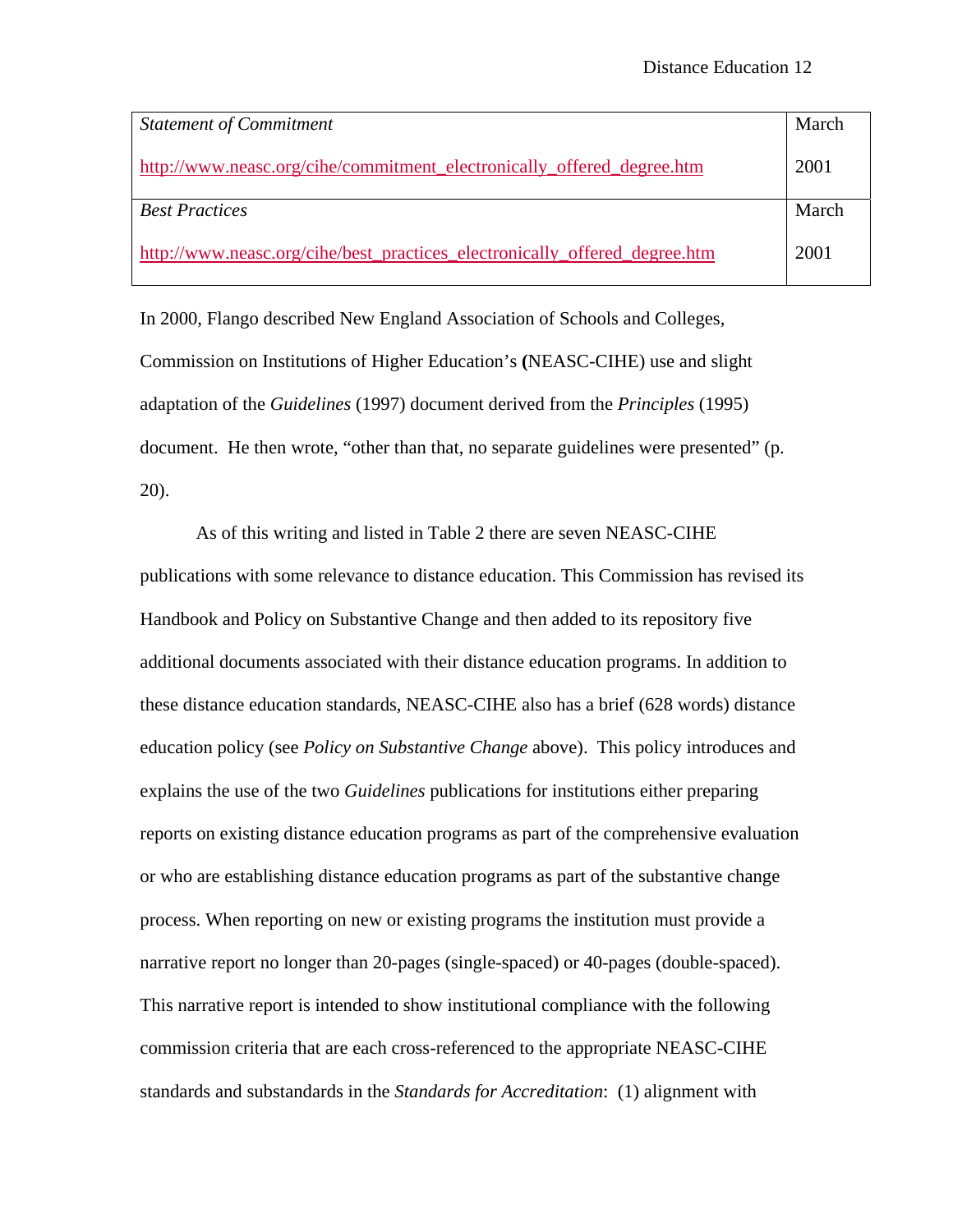| <b>Statement of Commitment</b>                                             | March |
|----------------------------------------------------------------------------|-------|
| http://www.neasc.org/cihe/commitment electronically offered degree.htm     | 2001  |
| <b>Best Practices</b>                                                      | March |
| http://www.neasc.org/cihe/best_practices_electronically_offered_degree.htm | 2001  |

In 2000, Flango described New England Association of Schools and Colleges, Commission on Institutions of Higher Education's **(**NEASC-CIHE) use and slight adaptation of the *Guidelines* (1997) document derived from the *Principles* (1995) document. He then wrote, "other than that, no separate guidelines were presented" (p. 20).

As of this writing and listed in Table 2 there are seven NEASC-CIHE publications with some relevance to distance education. This Commission has revised its Handbook and Policy on Substantive Change and then added to its repository five additional documents associated with their distance education programs. In addition to these distance education standards, NEASC-CIHE also has a brief (628 words) distance education policy (see *Policy on Substantive Change* above). This policy introduces and explains the use of the two *Guidelines* publications for institutions either preparing reports on existing distance education programs as part of the comprehensive evaluation or who are establishing distance education programs as part of the substantive change process. When reporting on new or existing programs the institution must provide a narrative report no longer than 20-pages (single-spaced) or 40-pages (double-spaced). This narrative report is intended to show institutional compliance with the following commission criteria that are each cross-referenced to the appropriate NEASC-CIHE standards and substandards in the *Standards for Accreditation*: (1) alignment with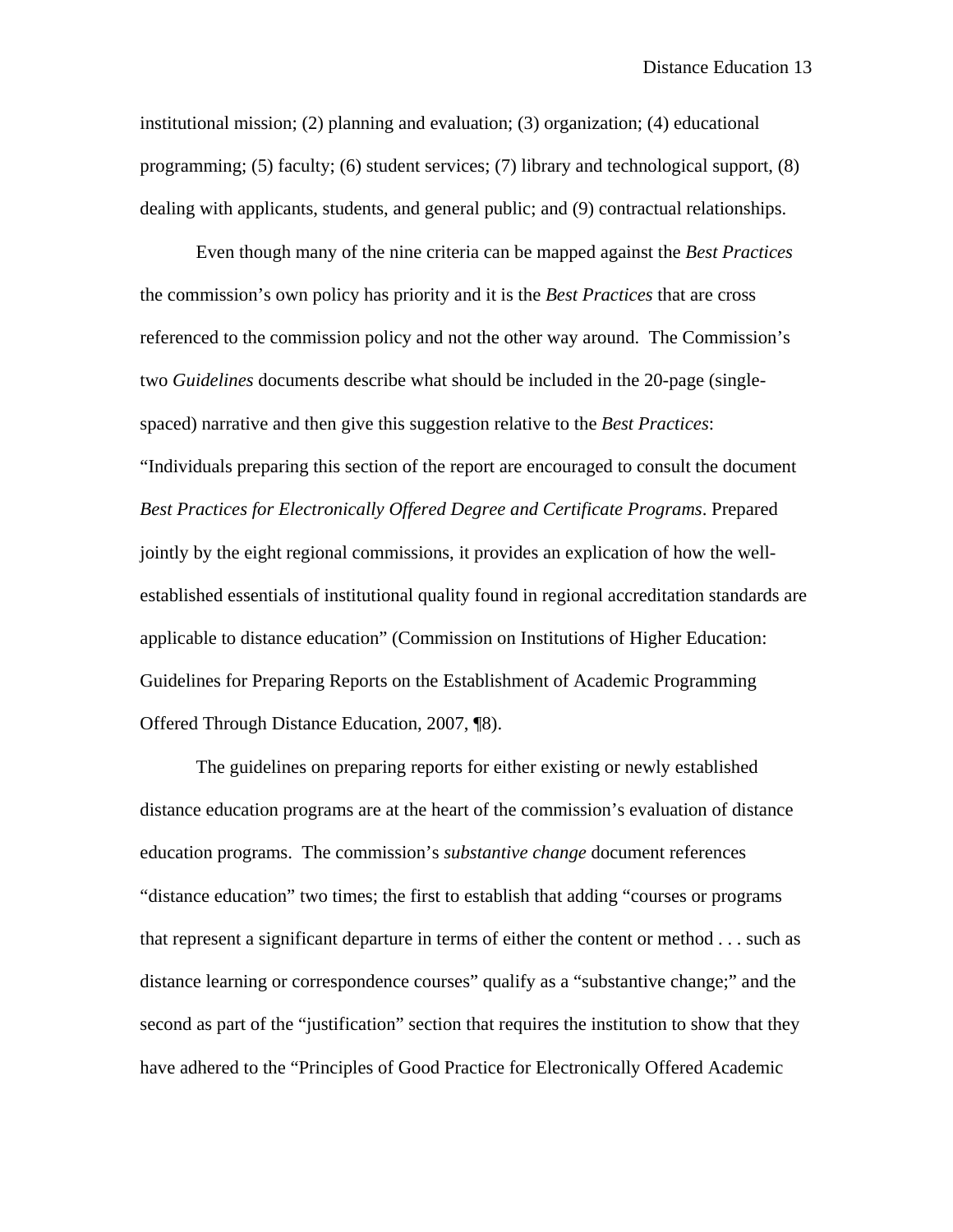institutional mission; (2) planning and evaluation; (3) organization; (4) educational programming; (5) faculty; (6) student services; (7) library and technological support, (8) dealing with applicants, students, and general public; and (9) contractual relationships.

Even though many of the nine criteria can be mapped against the *Best Practices* the commission's own policy has priority and it is the *Best Practices* that are cross referenced to the commission policy and not the other way around. The Commission's two *Guidelines* documents describe what should be included in the 20-page (singlespaced) narrative and then give this suggestion relative to the *Best Practices*: "Individuals preparing this section of the report are encouraged to consult the document *Best Practices for Electronically Offered Degree and Certificate Programs*. Prepared jointly by the eight regional commissions, it provides an explication of how the wellestablished essentials of institutional quality found in regional accreditation standards are applicable to distance education" (Commission on Institutions of Higher Education: Guidelines for Preparing Reports on the Establishment of Academic Programming Offered Through Distance Education, 2007, ¶8).

The guidelines on preparing reports for either existing or newly established distance education programs are at the heart of the commission's evaluation of distance education programs. The commission's *substantive change* document references "distance education" two times; the first to establish that adding "courses or programs that represent a significant departure in terms of either the content or method . . . such as distance learning or correspondence courses" qualify as a "substantive change;" and the second as part of the "justification" section that requires the institution to show that they have adhered to the "Principles of Good Practice for Electronically Offered Academic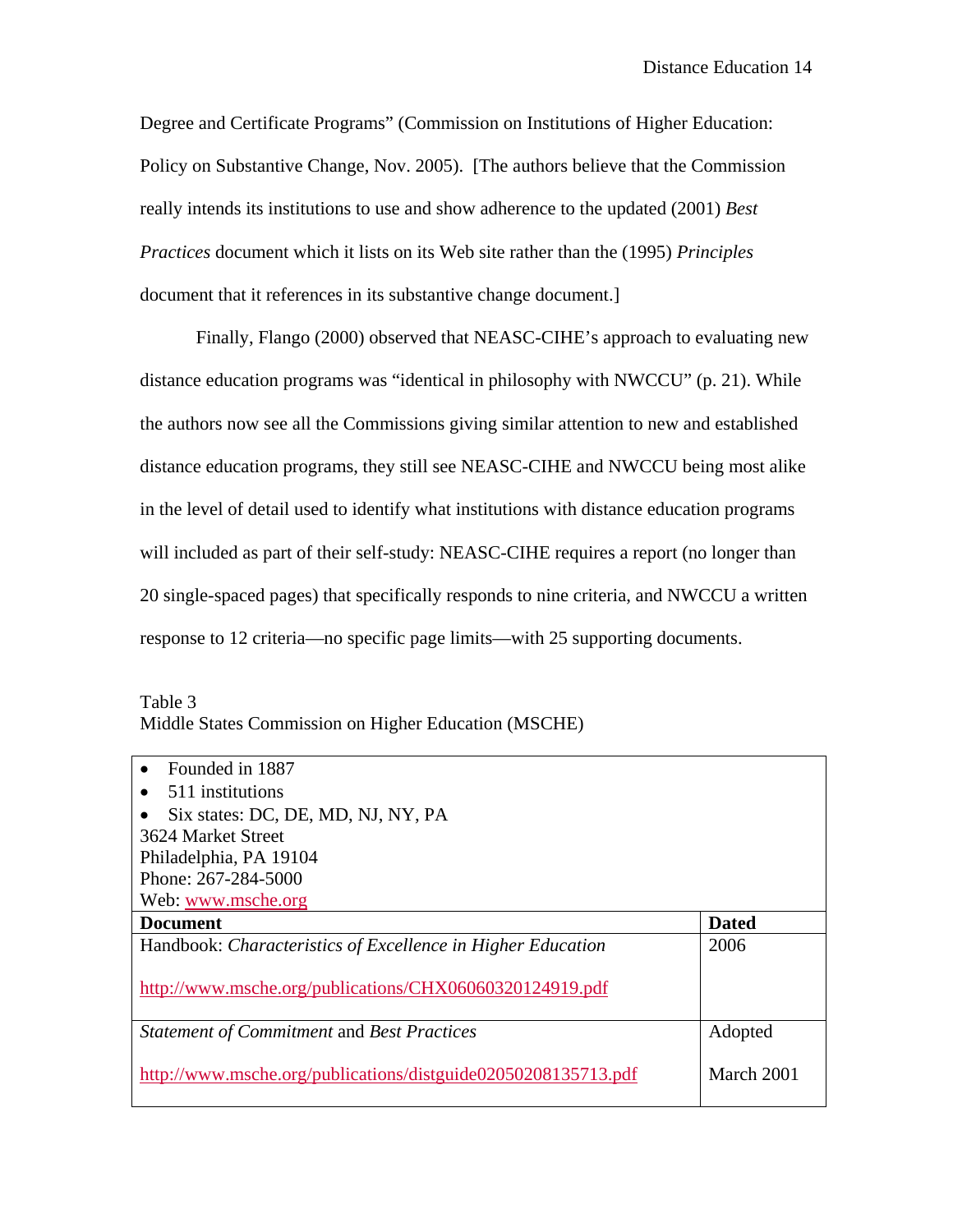Degree and Certificate Programs" (Commission on Institutions of Higher Education: Policy on Substantive Change, Nov. 2005). [The authors believe that the Commission really intends its institutions to use and show adherence to the updated (2001) *Best Practices* document which it lists on its Web site rather than the (1995) *Principles*  document that it references in its substantive change document.]

Finally, Flango (2000) observed that NEASC-CIHE's approach to evaluating new distance education programs was "identical in philosophy with NWCCU" (p. 21). While the authors now see all the Commissions giving similar attention to new and established distance education programs, they still see NEASC-CIHE and NWCCU being most alike in the level of detail used to identify what institutions with distance education programs will included as part of their self-study: NEASC-CIHE requires a report (no longer than 20 single-spaced pages) that specifically responds to nine criteria, and NWCCU a written response to 12 criteria—no specific page limits—with 25 supporting documents.

| Table 3                                              |  |
|------------------------------------------------------|--|
| Middle States Commission on Higher Education (MSCHE) |  |

| Founded in 1887                                             |              |
|-------------------------------------------------------------|--------------|
| 511 institutions                                            |              |
| Six states: DC, DE, MD, NJ, NY, PA                          |              |
| 3624 Market Street                                          |              |
| Philadelphia, PA 19104                                      |              |
| Phone: 267-284-5000                                         |              |
| Web: www.msche.org                                          |              |
| <b>Document</b>                                             | <b>Dated</b> |
| Handbook: Characteristics of Excellence in Higher Education | 2006         |
|                                                             |              |
| http://www.msche.org/publications/CHX06060320124919.pdf     |              |
| <b>Statement of Commitment and Best Practices</b>           | Adopted      |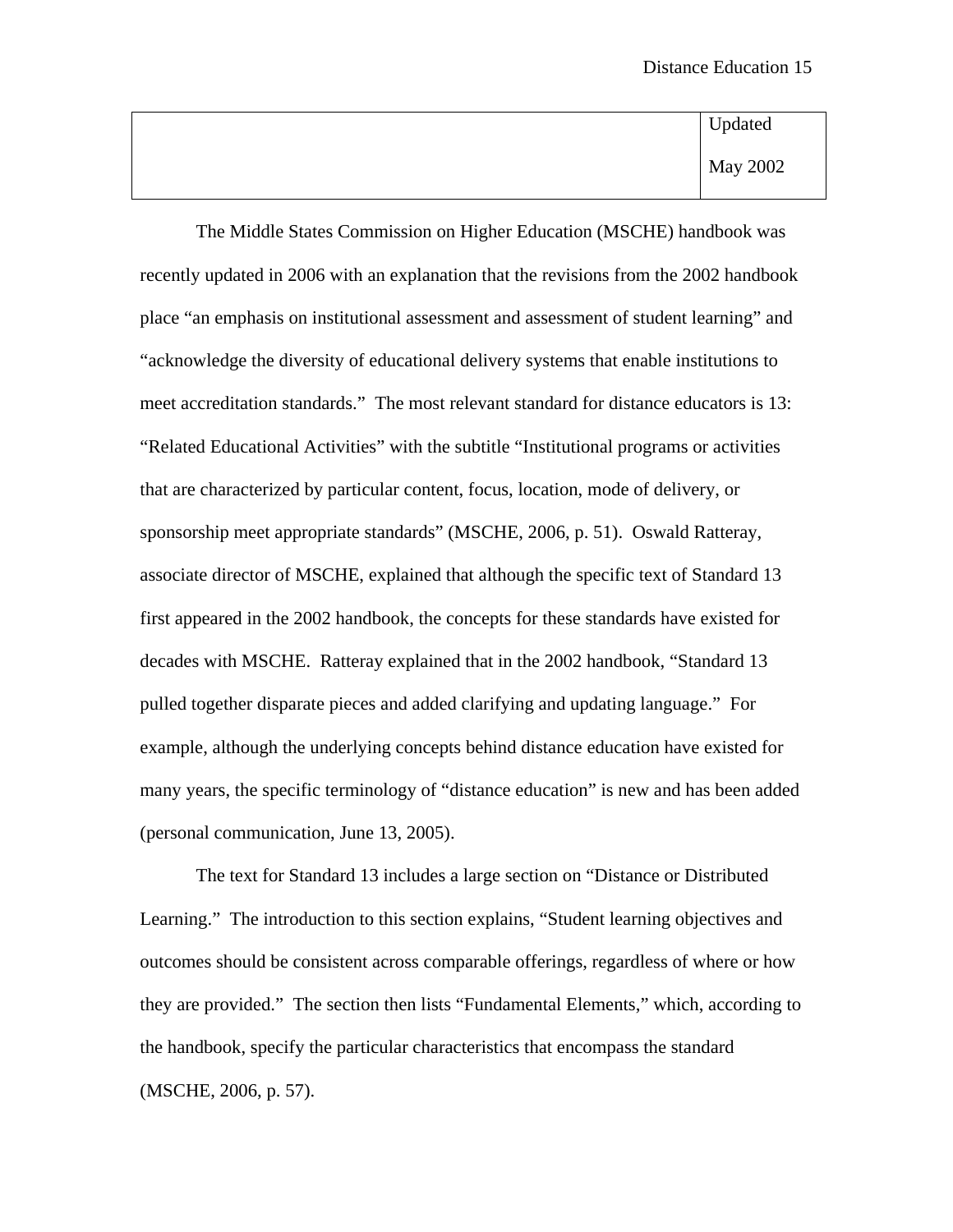Updated May 2002

 The Middle States Commission on Higher Education (MSCHE) handbook was recently updated in 2006 with an explanation that the revisions from the 2002 handbook place "an emphasis on institutional assessment and assessment of student learning" and "acknowledge the diversity of educational delivery systems that enable institutions to meet accreditation standards." The most relevant standard for distance educators is 13: "Related Educational Activities" with the subtitle "Institutional programs or activities that are characterized by particular content, focus, location, mode of delivery, or sponsorship meet appropriate standards" (MSCHE, 2006, p. 51). Oswald Ratteray, associate director of MSCHE, explained that although the specific text of Standard 13 first appeared in the 2002 handbook, the concepts for these standards have existed for decades with MSCHE. Ratteray explained that in the 2002 handbook, "Standard 13 pulled together disparate pieces and added clarifying and updating language." For example, although the underlying concepts behind distance education have existed for many years, the specific terminology of "distance education" is new and has been added (personal communication, June 13, 2005).

The text for Standard 13 includes a large section on "Distance or Distributed Learning." The introduction to this section explains, "Student learning objectives and outcomes should be consistent across comparable offerings, regardless of where or how they are provided." The section then lists "Fundamental Elements," which, according to the handbook, specify the particular characteristics that encompass the standard (MSCHE, 2006, p. 57).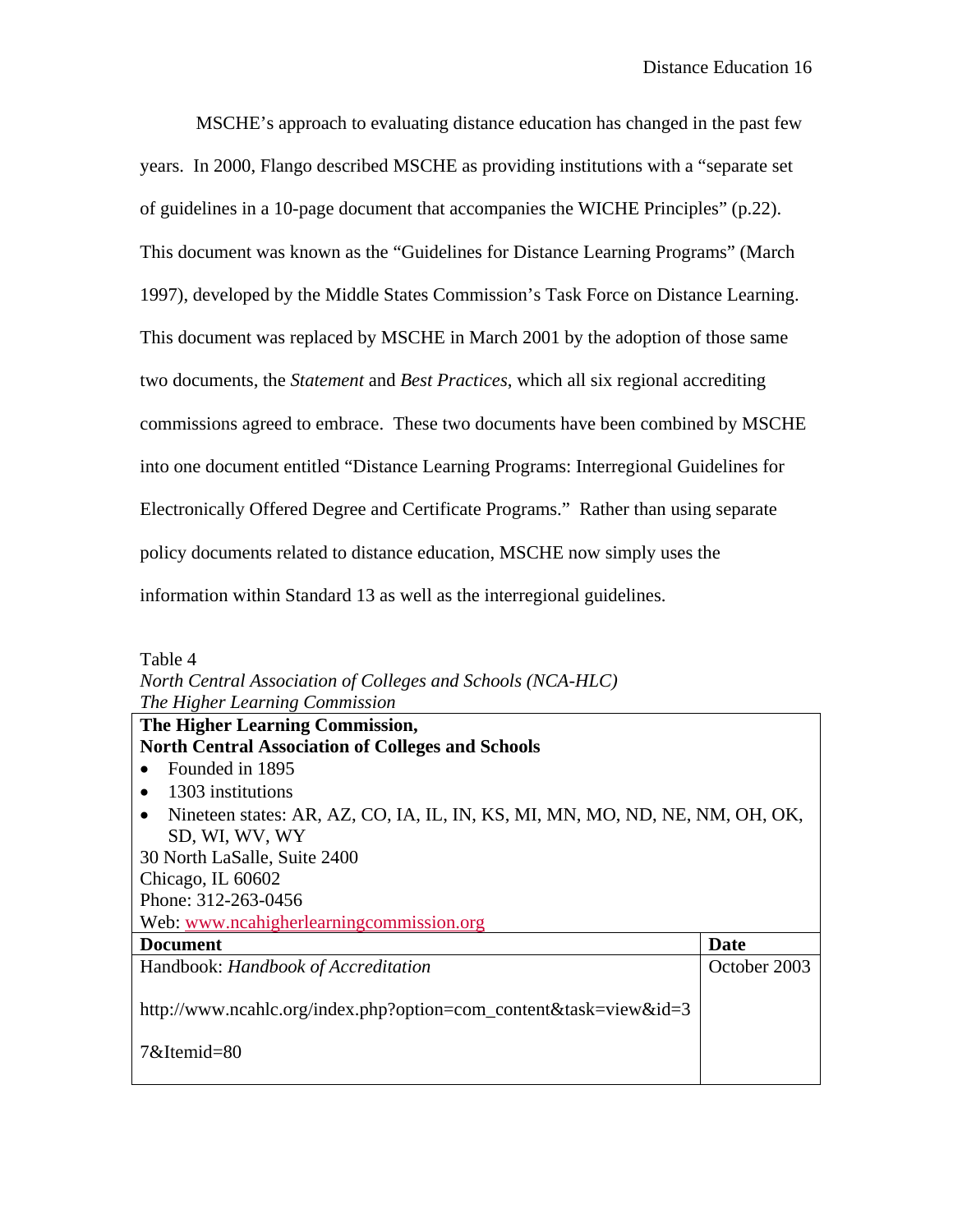MSCHE's approach to evaluating distance education has changed in the past few years. In 2000, Flango described MSCHE as providing institutions with a "separate set of guidelines in a 10-page document that accompanies the WICHE Principles" (p.22). This document was known as the "Guidelines for Distance Learning Programs" (March 1997), developed by the Middle States Commission's Task Force on Distance Learning. This document was replaced by MSCHE in March 2001 by the adoption of those same two documents, the *Statement* and *Best Practices*, which all six regional accrediting commissions agreed to embrace. These two documents have been combined by MSCHE into one document entitled "Distance Learning Programs: Interregional Guidelines for Electronically Offered Degree and Certificate Programs." Rather than using separate policy documents related to distance education, MSCHE now simply uses the information within Standard 13 as well as the interregional guidelines.

| Table 4                                                                                   |
|-------------------------------------------------------------------------------------------|
| North Central Association of Colleges and Schools (NCA-HLC)                               |
| The Higher Learning Commission                                                            |
| The Higher Learning Commission,                                                           |
| <b>North Central Association of Colleges and Schools</b>                                  |
| Founded in 1895                                                                           |
| 1303 institutions                                                                         |
| Nineteen states: AR, AZ, CO, IA, IL, IN, KS, MI, MN, MO, ND, NE, NM, OH, OK,<br>$\bullet$ |
| SD, WI, WV, WY                                                                            |
| 30 North LaSalle, Suite 2400                                                              |
| Chicago, IL 60602                                                                         |
| Phone: 312-263-0456                                                                       |

Web: [www.ncahigherlearningcommission.org](http://www.ncahigherlearningcommission.org/)

| Document                                                                         | Date         |
|----------------------------------------------------------------------------------|--------------|
| Handbook: Handbook of Accreditation                                              | October 2003 |
| http://www.ncahlc.org/index.php?option=com_content&task=view&id=3<br>7&Itemid=80 |              |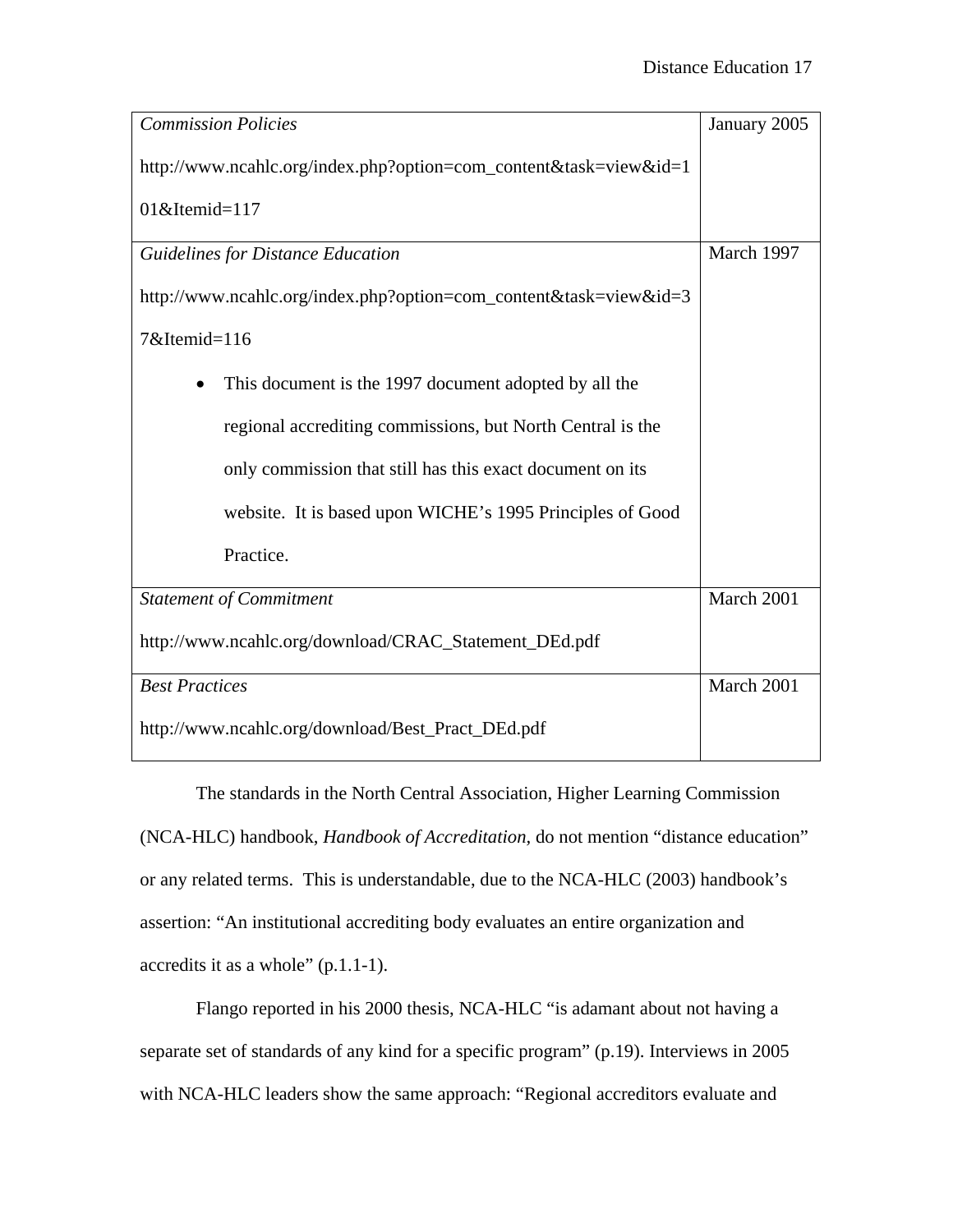| <b>Commission Policies</b>                                        | January 2005 |
|-------------------------------------------------------------------|--------------|
| http://www.ncahlc.org/index.php?option=com_content&task=view&id=1 |              |
| $01$ &Itemid= $117$                                               |              |
| <b>Guidelines for Distance Education</b>                          | March 1997   |
| http://www.ncahlc.org/index.php?option=com_content&task=view&id=3 |              |
| 7&Itemid=116                                                      |              |
| This document is the 1997 document adopted by all the             |              |
| regional accrediting commissions, but North Central is the        |              |
| only commission that still has this exact document on its         |              |
| website. It is based upon WICHE's 1995 Principles of Good         |              |
| Practice.                                                         |              |
| <b>Statement of Commitment</b>                                    | March 2001   |
| http://www.ncahlc.org/download/CRAC_Statement_DEd.pdf             |              |
| <b>Best Practices</b>                                             | March 2001   |
| http://www.ncahlc.org/download/Best_Pract_DEd.pdf                 |              |

 The standards in the North Central Association, Higher Learning Commission (NCA-HLC) handbook, *Handbook of Accreditation,* do not mention "distance education" or any related terms. This is understandable, due to the NCA-HLC (2003) handbook's assertion: "An institutional accrediting body evaluates an entire organization and accredits it as a whole" (p.1.1-1).

Flango reported in his 2000 thesis, NCA-HLC "is adamant about not having a separate set of standards of any kind for a specific program" (p.19). Interviews in 2005 with NCA-HLC leaders show the same approach: "Regional accreditors evaluate and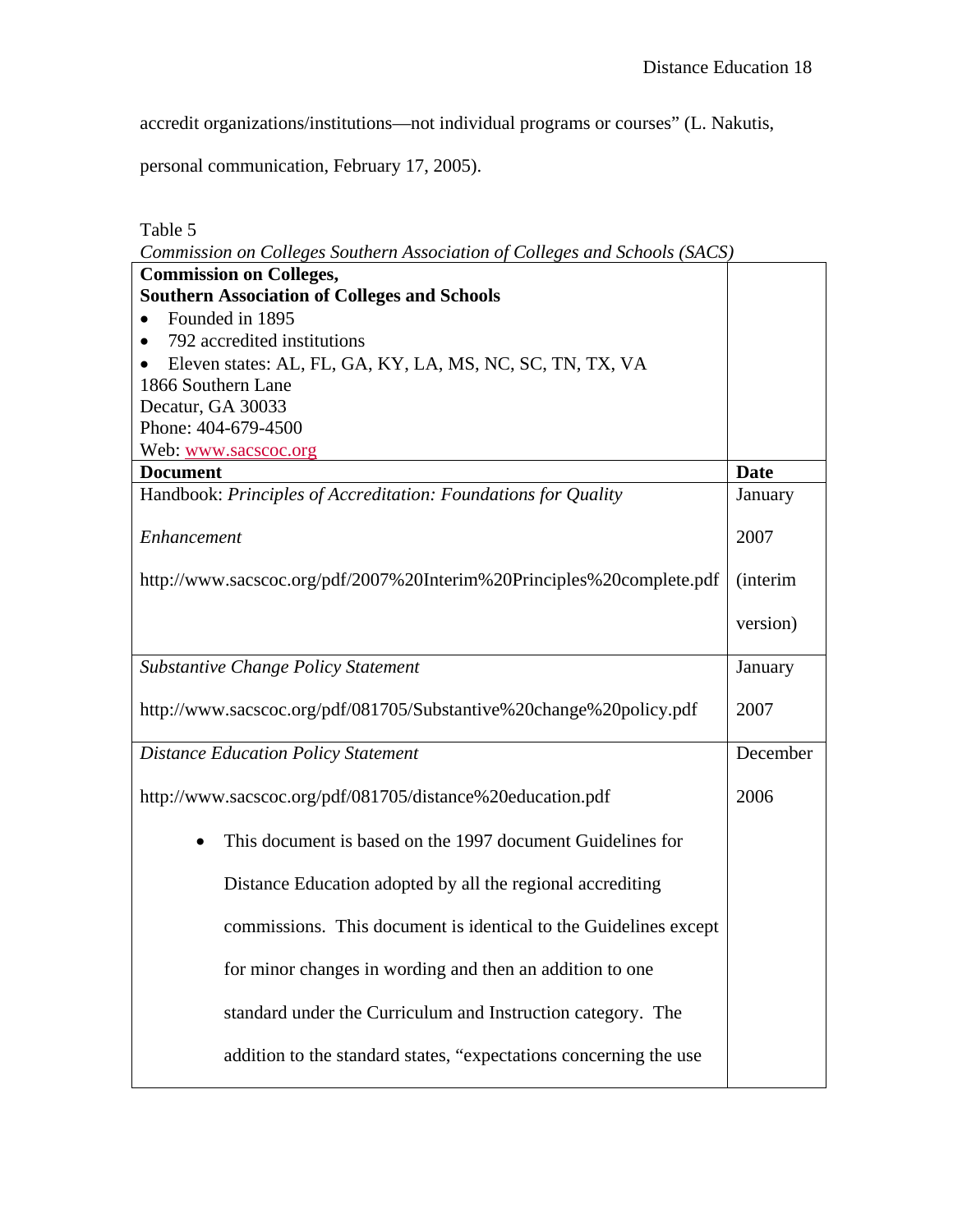accredit organizations/institutions—not individual programs or courses" (L. Nakutis,

personal communication, February 17, 2005).

Table 5

| Commission on Colleges Southern Association of Colleges and Schools (SACS) |                  |
|----------------------------------------------------------------------------|------------------|
| <b>Commission on Colleges,</b>                                             |                  |
| <b>Southern Association of Colleges and Schools</b>                        |                  |
| Founded in 1895                                                            |                  |
| 792 accredited institutions<br>$\bullet$                                   |                  |
| Eleven states: AL, FL, GA, KY, LA, MS, NC, SC, TN, TX, VA                  |                  |
| 1866 Southern Lane                                                         |                  |
| Decatur, GA 30033                                                          |                  |
| Phone: 404-679-4500                                                        |                  |
| Web: www.sacscoc.org                                                       |                  |
| <b>Document</b>                                                            | <b>Date</b>      |
| Handbook: Principles of Accreditation: Foundations for Quality             | January          |
| Enhancement                                                                | 2007             |
| http://www.sacscoc.org/pdf/2007%20Interim%20Principles%20complete.pdf      | <i>(interim)</i> |
|                                                                            | version)         |
| <b>Substantive Change Policy Statement</b>                                 | January          |
| http://www.sacscoc.org/pdf/081705/Substantive%20change%20policy.pdf        | 2007             |
| <b>Distance Education Policy Statement</b>                                 | December         |
| http://www.sacscoc.org/pdf/081705/distance%20education.pdf                 | 2006             |
| This document is based on the 1997 document Guidelines for                 |                  |
| Distance Education adopted by all the regional accrediting                 |                  |
| commissions. This document is identical to the Guidelines except           |                  |
| for minor changes in wording and then an addition to one                   |                  |
| standard under the Curriculum and Instruction category. The                |                  |
| addition to the standard states, "expectations concerning the use          |                  |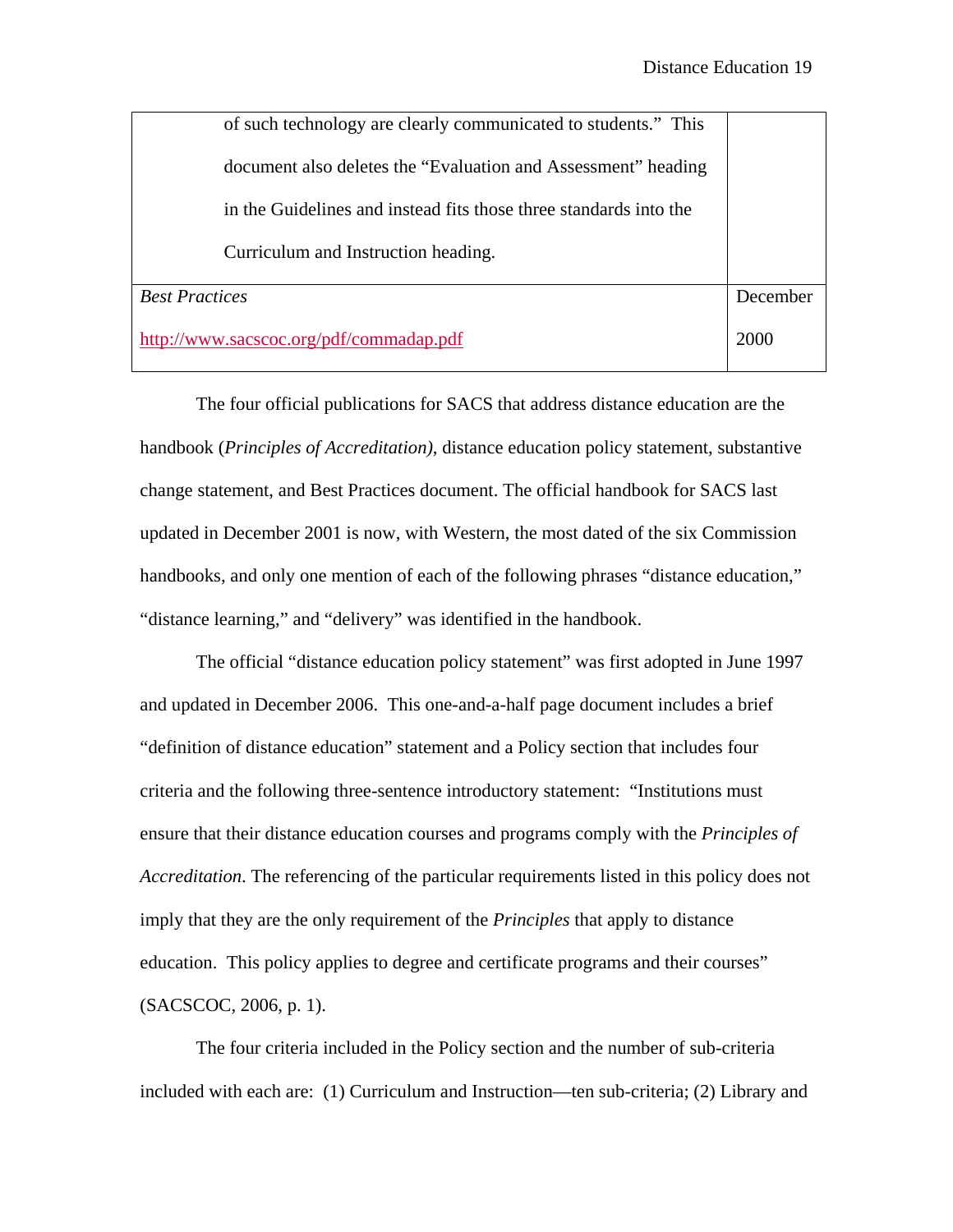| of such technology are clearly communicated to students." This    |          |
|-------------------------------------------------------------------|----------|
| document also deletes the "Evaluation and Assessment" heading     |          |
| in the Guidelines and instead fits those three standards into the |          |
| Curriculum and Instruction heading.                               |          |
| <b>Best Practices</b>                                             | December |
| http://www.sacscoc.org/pdf/commadap.pdf                           | 2000     |

The four official publications for SACS that address distance education are the handbook (*Principles of Accreditation)*, distance education policy statement, substantive change statement, and Best Practices document. The official handbook for SACS last updated in December 2001 is now, with Western, the most dated of the six Commission handbooks, and only one mention of each of the following phrases "distance education," "distance learning," and "delivery" was identified in the handbook.

The official "distance education policy statement" was first adopted in June 1997 and updated in December 2006. This one-and-a-half page document includes a brief "definition of distance education" statement and a Policy section that includes four criteria and the following three-sentence introductory statement: "Institutions must ensure that their distance education courses and programs comply with the *Principles of Accreditation*. The referencing of the particular requirements listed in this policy does not imply that they are the only requirement of the *Principles* that apply to distance education. This policy applies to degree and certificate programs and their courses" (SACSCOC, 2006, p. 1).

The four criteria included in the Policy section and the number of sub-criteria included with each are: (1) Curriculum and Instruction—ten sub-criteria; (2) Library and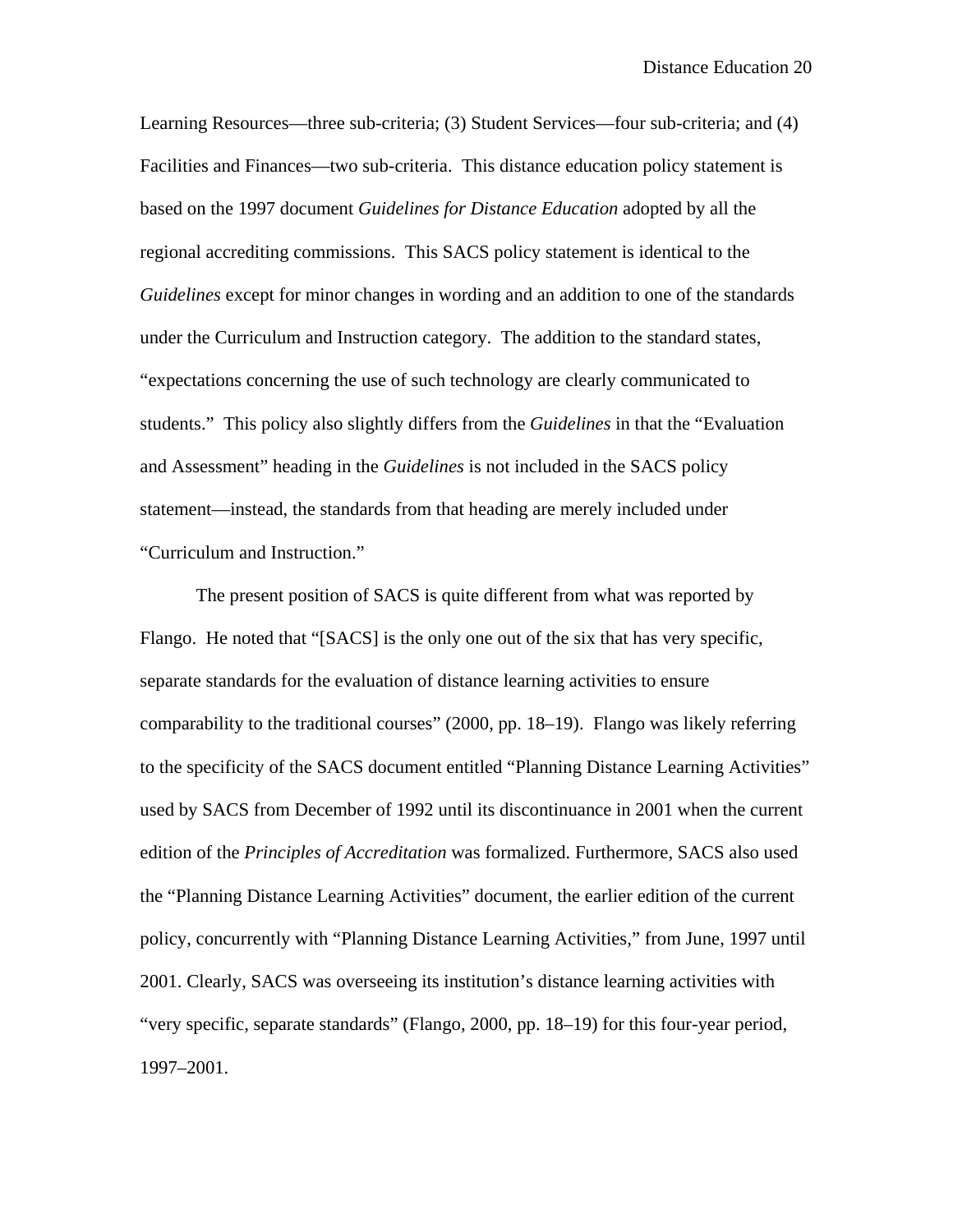Learning Resources—three sub-criteria; (3) Student Services—four sub-criteria; and (4) Facilities and Finances—two sub-criteria. This distance education policy statement is based on the 1997 document *Guidelines for Distance Education* adopted by all the regional accrediting commissions. This SACS policy statement is identical to the *Guidelines* except for minor changes in wording and an addition to one of the standards under the Curriculum and Instruction category. The addition to the standard states, "expectations concerning the use of such technology are clearly communicated to students." This policy also slightly differs from the *Guidelines* in that the "Evaluation and Assessment" heading in the *Guidelines* is not included in the SACS policy statement—instead, the standards from that heading are merely included under "Curriculum and Instruction."

The present position of SACS is quite different from what was reported by Flango. He noted that "[SACS] is the only one out of the six that has very specific, separate standards for the evaluation of distance learning activities to ensure comparability to the traditional courses" (2000, pp. 18–19). Flango was likely referring to the specificity of the SACS document entitled "Planning Distance Learning Activities" used by SACS from December of 1992 until its discontinuance in 2001 when the current edition of the *Principles of Accreditation* was formalized. Furthermore, SACS also used the "Planning Distance Learning Activities" document, the earlier edition of the current policy, concurrently with "Planning Distance Learning Activities," from June, 1997 until 2001. Clearly, SACS was overseeing its institution's distance learning activities with "very specific, separate standards" (Flango, 2000, pp. 18–19) for this four-year period, 1997–2001.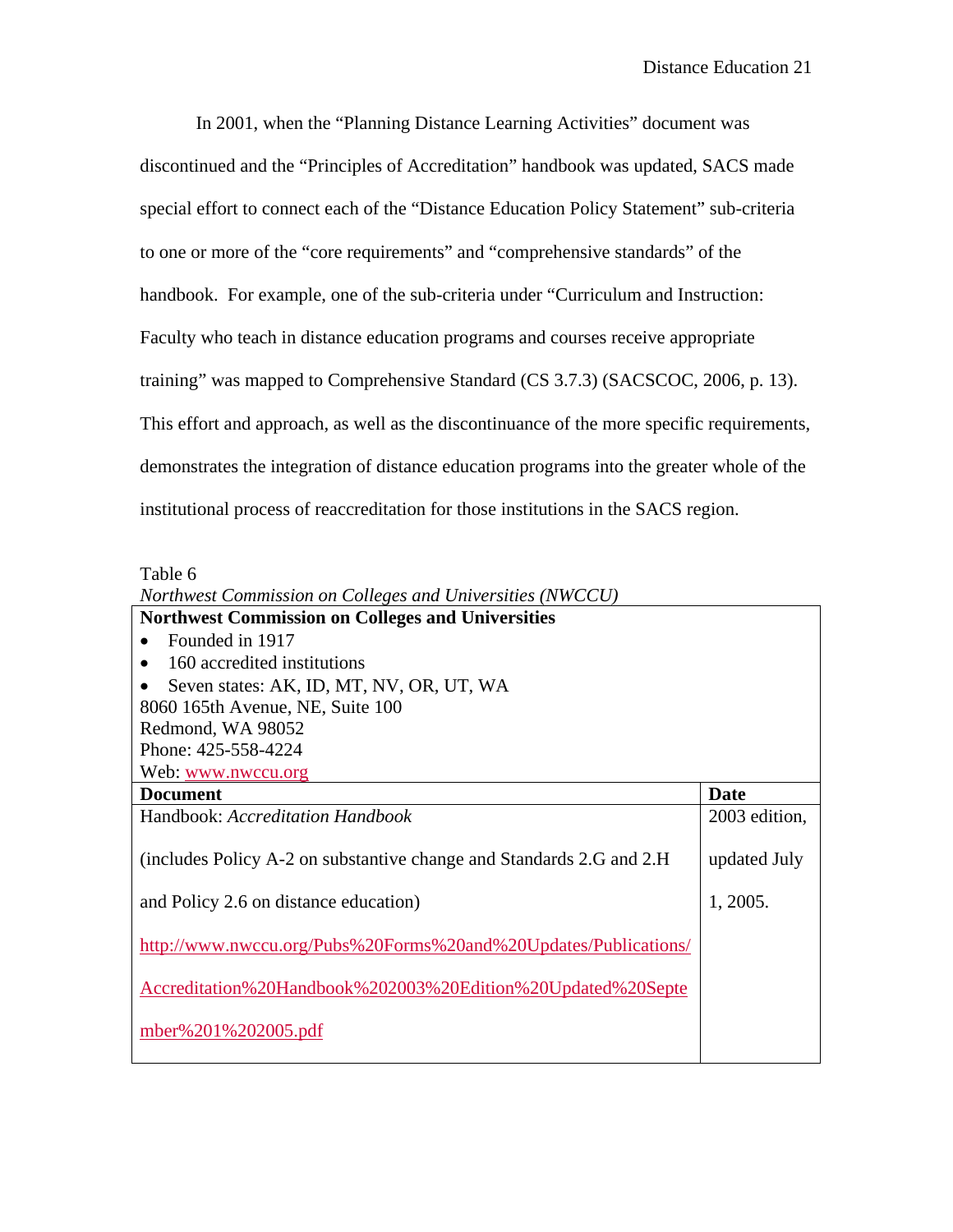In 2001, when the "Planning Distance Learning Activities" document was discontinued and the "Principles of Accreditation" handbook was updated, SACS made special effort to connect each of the "Distance Education Policy Statement" sub-criteria to one or more of the "core requirements" and "comprehensive standards" of the handbook. For example, one of the sub-criteria under "Curriculum and Instruction: Faculty who teach in distance education programs and courses receive appropriate training" was mapped to Comprehensive Standard (CS 3.7.3) (SACSCOC, 2006, p. 13). This effort and approach, as well as the discontinuance of the more specific requirements, demonstrates the integration of distance education programs into the greater whole of the institutional process of reaccreditation for those institutions in the SACS region.

Table 6

| Northwest Commission on Colleges and Universities (NWCCU)             |               |
|-----------------------------------------------------------------------|---------------|
| <b>Northwest Commission on Colleges and Universities</b>              |               |
| Founded in 1917                                                       |               |
| 160 accredited institutions<br>٠                                      |               |
| Seven states: AK, ID, MT, NV, OR, UT, WA                              |               |
| 8060 165th Avenue, NE, Suite 100                                      |               |
| Redmond, WA 98052                                                     |               |
| Phone: 425-558-4224                                                   |               |
| Web: www.nwccu.org                                                    |               |
| <b>Document</b>                                                       | Date          |
| Handbook: Accreditation Handbook                                      | 2003 edition, |
| (includes Policy A-2 on substantive change and Standards 2.G and 2.H) | updated July  |
| and Policy 2.6 on distance education)                                 | 1, 2005.      |
| http://www.nwccu.org/Pubs%20Forms%20and%20Updates/Publications/       |               |
| Accreditation%20Handbook%202003%20Edition%20Updated%20Septe           |               |
| mber%201%202005.pdf                                                   |               |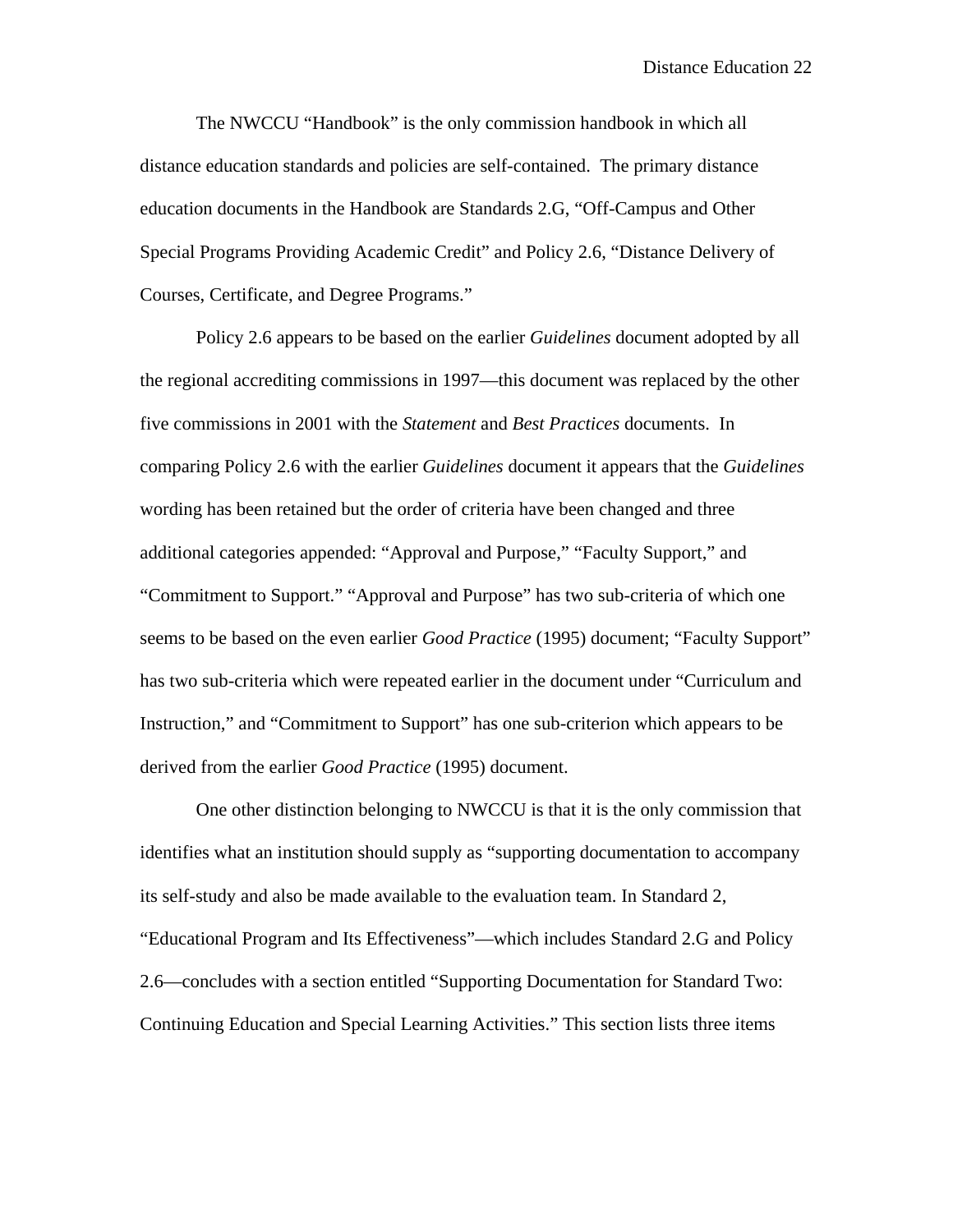The NWCCU "Handbook" is the only commission handbook in which all distance education standards and policies are self-contained. The primary distance education documents in the Handbook are Standards 2.G, "Off-Campus and Other Special Programs Providing Academic Credit" and Policy 2.6, "Distance Delivery of Courses, Certificate, and Degree Programs."

 Policy 2.6 appears to be based on the earlier *Guidelines* document adopted by all the regional accrediting commissions in 1997—this document was replaced by the other five commissions in 2001 with the *Statement* and *Best Practices* documents. In comparing Policy 2.6 with the earlier *Guidelines* document it appears that the *Guidelines*  wording has been retained but the order of criteria have been changed and three additional categories appended: "Approval and Purpose," "Faculty Support," and "Commitment to Support." "Approval and Purpose" has two sub-criteria of which one seems to be based on the even earlier *Good Practice* (1995) document; "Faculty Support" has two sub-criteria which were repeated earlier in the document under "Curriculum and Instruction," and "Commitment to Support" has one sub-criterion which appears to be derived from the earlier *Good Practice* (1995) document.

One other distinction belonging to NWCCU is that it is the only commission that identifies what an institution should supply as "supporting documentation to accompany its self-study and also be made available to the evaluation team. In Standard 2, "Educational Program and Its Effectiveness"—which includes Standard 2.G and Policy 2.6—concludes with a section entitled "Supporting Documentation for Standard Two: Continuing Education and Special Learning Activities." This section lists three items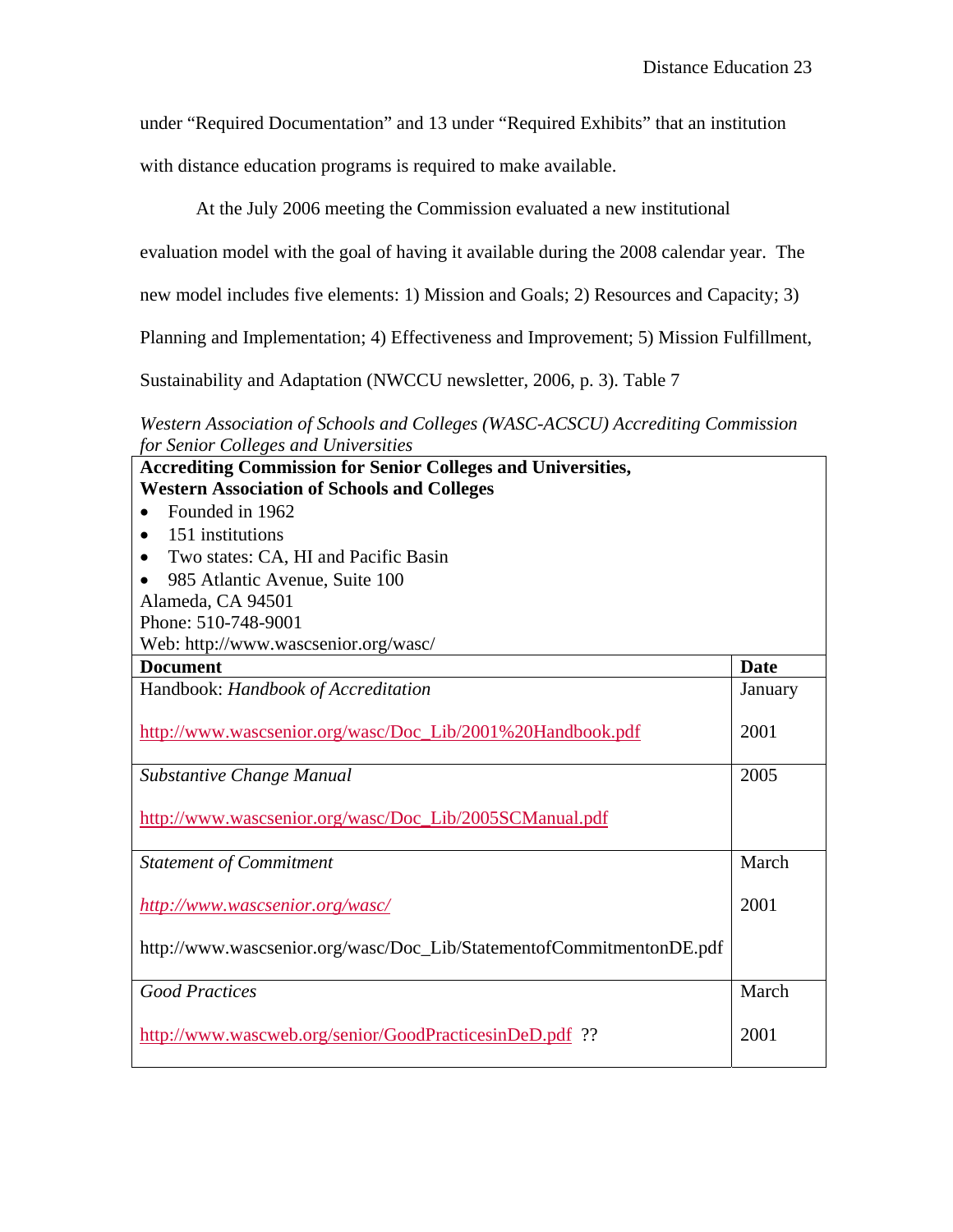under "Required Documentation" and 13 under "Required Exhibits" that an institution

with distance education programs is required to make available.

At the July 2006 meeting the Commission evaluated a new institutional

evaluation model with the goal of having it available during the 2008 calendar year. The

new model includes five elements: 1) Mission and Goals; 2) Resources and Capacity; 3)

Planning and Implementation; 4) Effectiveness and Improvement; 5) Mission Fulfillment,

Sustainability and Adaptation (NWCCU newsletter, 2006, p. 3). Table 7

*Western Association of Schools and Colleges (WASC-ACSCU) Accrediting Commission for Senior Colleges and Universities*

| <b>Accrediting Commission for Senior Colleges and Universities,</b>  |             |
|----------------------------------------------------------------------|-------------|
| <b>Western Association of Schools and Colleges</b>                   |             |
| Founded in 1962                                                      |             |
| 151 institutions<br>$\bullet$                                        |             |
| Two states: CA, HI and Pacific Basin<br>$\bullet$                    |             |
| 985 Atlantic Avenue, Suite 100                                       |             |
| Alameda, CA 94501                                                    |             |
| Phone: 510-748-9001                                                  |             |
| Web: http://www.wascsenior.org/wasc/                                 |             |
| <b>Document</b>                                                      | <b>Date</b> |
| Handbook: Handbook of Accreditation                                  | January     |
|                                                                      |             |
| http://www.wascsenior.org/wasc/Doc_Lib/2001%20Handbook.pdf           | 2001        |
|                                                                      |             |
| Substantive Change Manual                                            | 2005        |
|                                                                      |             |
| http://www.wascsenior.org/wasc/Doc_Lib/2005SCManual.pdf              |             |
| <b>Statement of Commitment</b>                                       | March       |
|                                                                      |             |
| http://www.wascsenior.org/wasc/                                      | 2001        |
|                                                                      |             |
| http://www.wascsenior.org/wasc/Doc_Lib/StatementofCommitmentonDE.pdf |             |
|                                                                      |             |
| <b>Good Practices</b>                                                | March       |
|                                                                      |             |
| http://www.wascweb.org/senior/GoodPracticesinDeD.pdf ??              | 2001        |
|                                                                      |             |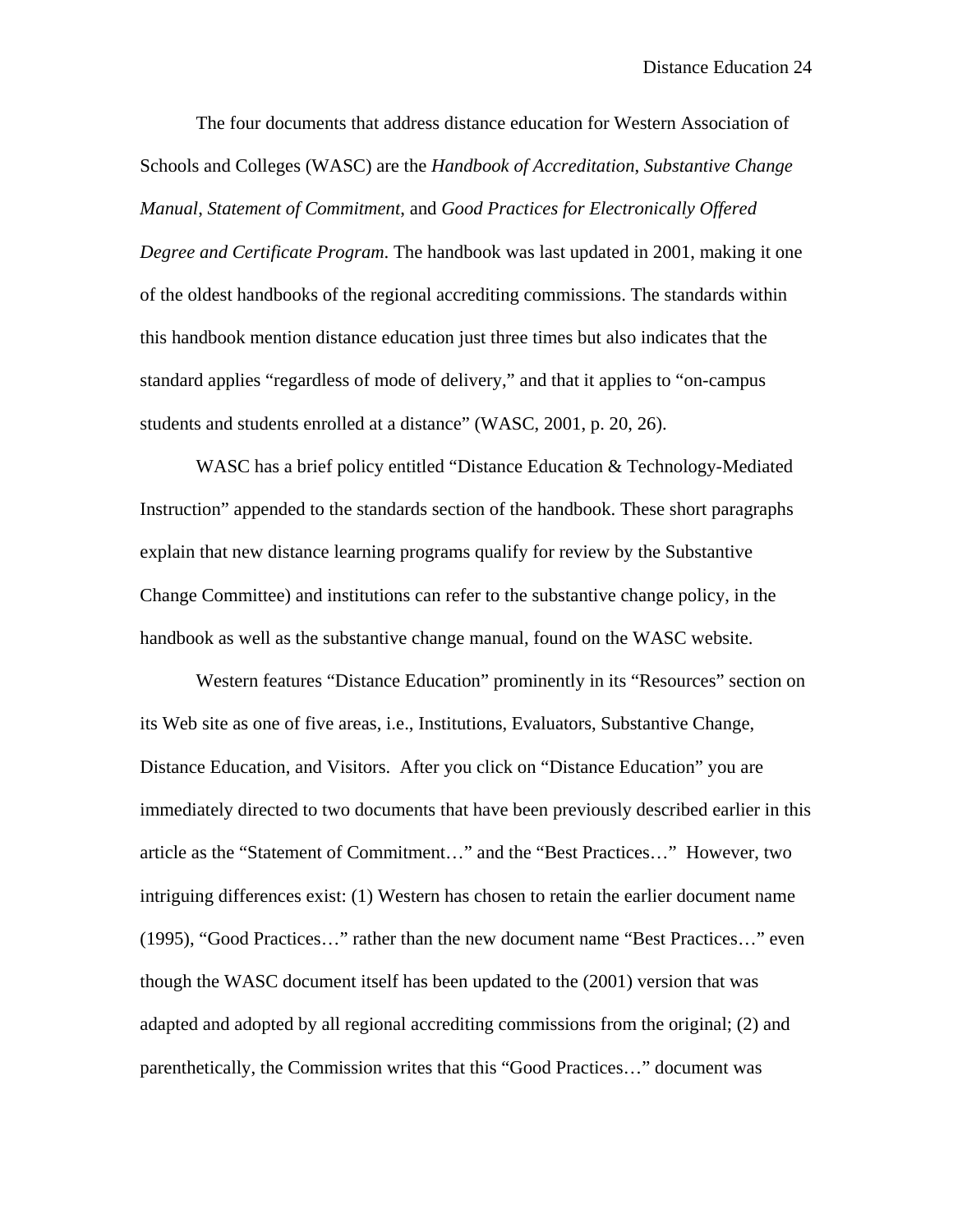The four documents that address distance education for Western Association of Schools and Colleges (WASC) are the *Handbook of Accreditation*, *Substantive Change Manual*, *Statement of Commitment*, and *Good Practices for Electronically Offered Degree and Certificate Program*. The handbook was last updated in 2001, making it one of the oldest handbooks of the regional accrediting commissions. The standards within this handbook mention distance education just three times but also indicates that the standard applies "regardless of mode of delivery," and that it applies to "on-campus students and students enrolled at a distance" (WASC, 2001, p. 20, 26).

 WASC has a brief policy entitled "Distance Education & Technology-Mediated Instruction" appended to the standards section of the handbook. These short paragraphs explain that new distance learning programs qualify for review by the Substantive Change Committee) and institutions can refer to the substantive change policy, in the handbook as well as the substantive change manual, found on the WASC website.

Western features "Distance Education" prominently in its "Resources" section on its Web site as one of five areas, i.e., Institutions, Evaluators, Substantive Change, Distance Education, and Visitors. After you click on "Distance Education" you are immediately directed to two documents that have been previously described earlier in this article as the "Statement of Commitment…" and the "Best Practices…" However, two intriguing differences exist: (1) Western has chosen to retain the earlier document name (1995), "Good Practices…" rather than the new document name "Best Practices…" even though the WASC document itself has been updated to the (2001) version that was adapted and adopted by all regional accrediting commissions from the original; (2) and parenthetically, the Commission writes that this "Good Practices…" document was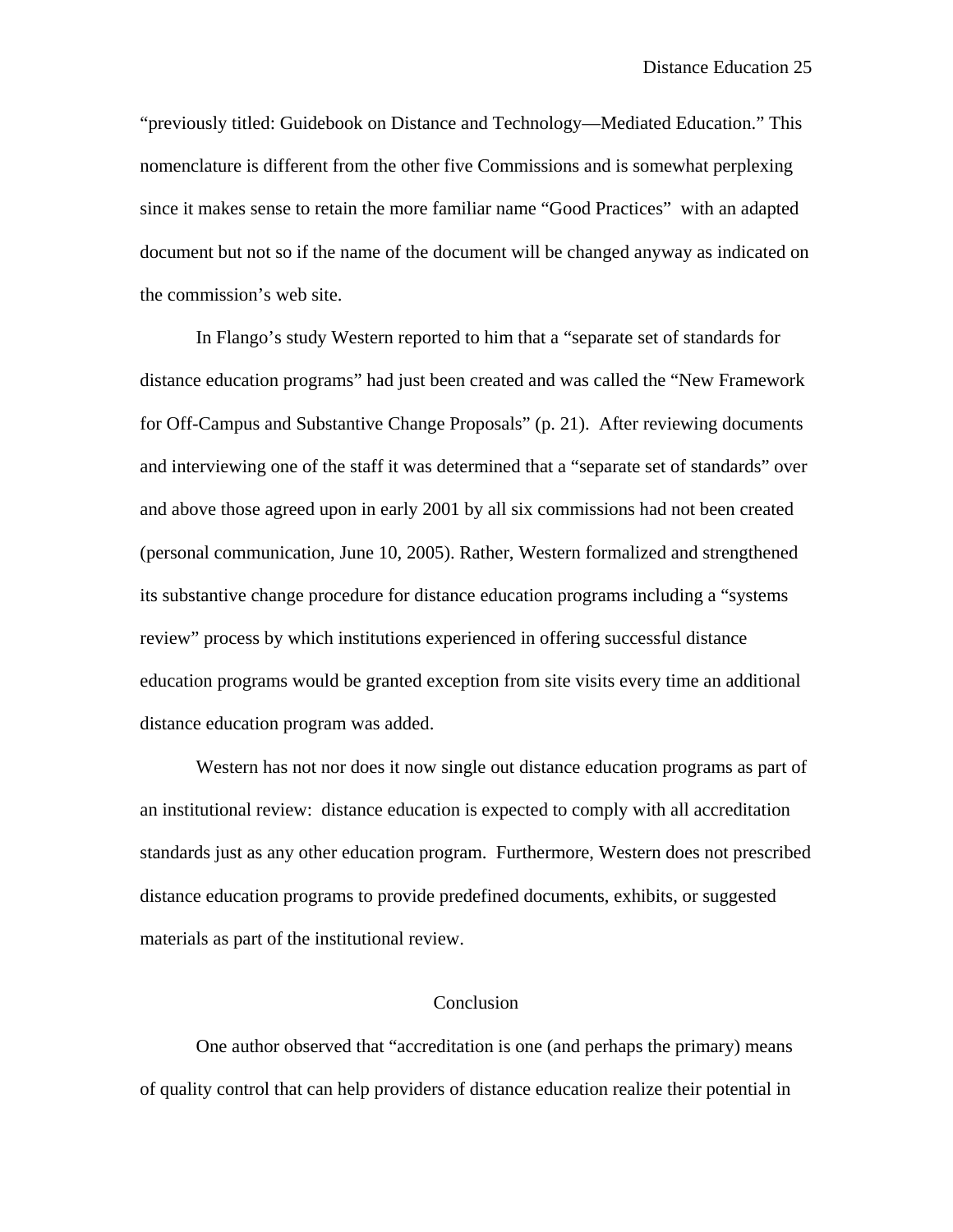"previously titled: Guidebook on Distance and Technology—Mediated Education." This nomenclature is different from the other five Commissions and is somewhat perplexing since it makes sense to retain the more familiar name "Good Practices" with an adapted document but not so if the name of the document will be changed anyway as indicated on the commission's web site.

In Flango's study Western reported to him that a "separate set of standards for distance education programs" had just been created and was called the "New Framework for Off-Campus and Substantive Change Proposals" (p. 21). After reviewing documents and interviewing one of the staff it was determined that a "separate set of standards" over and above those agreed upon in early 2001 by all six commissions had not been created (personal communication, June 10, 2005). Rather, Western formalized and strengthened its substantive change procedure for distance education programs including a "systems review" process by which institutions experienced in offering successful distance education programs would be granted exception from site visits every time an additional distance education program was added.

 Western has not nor does it now single out distance education programs as part of an institutional review: distance education is expected to comply with all accreditation standards just as any other education program. Furthermore, Western does not prescribed distance education programs to provide predefined documents, exhibits, or suggested materials as part of the institutional review.

## Conclusion

 One author observed that "accreditation is one (and perhaps the primary) means of quality control that can help providers of distance education realize their potential in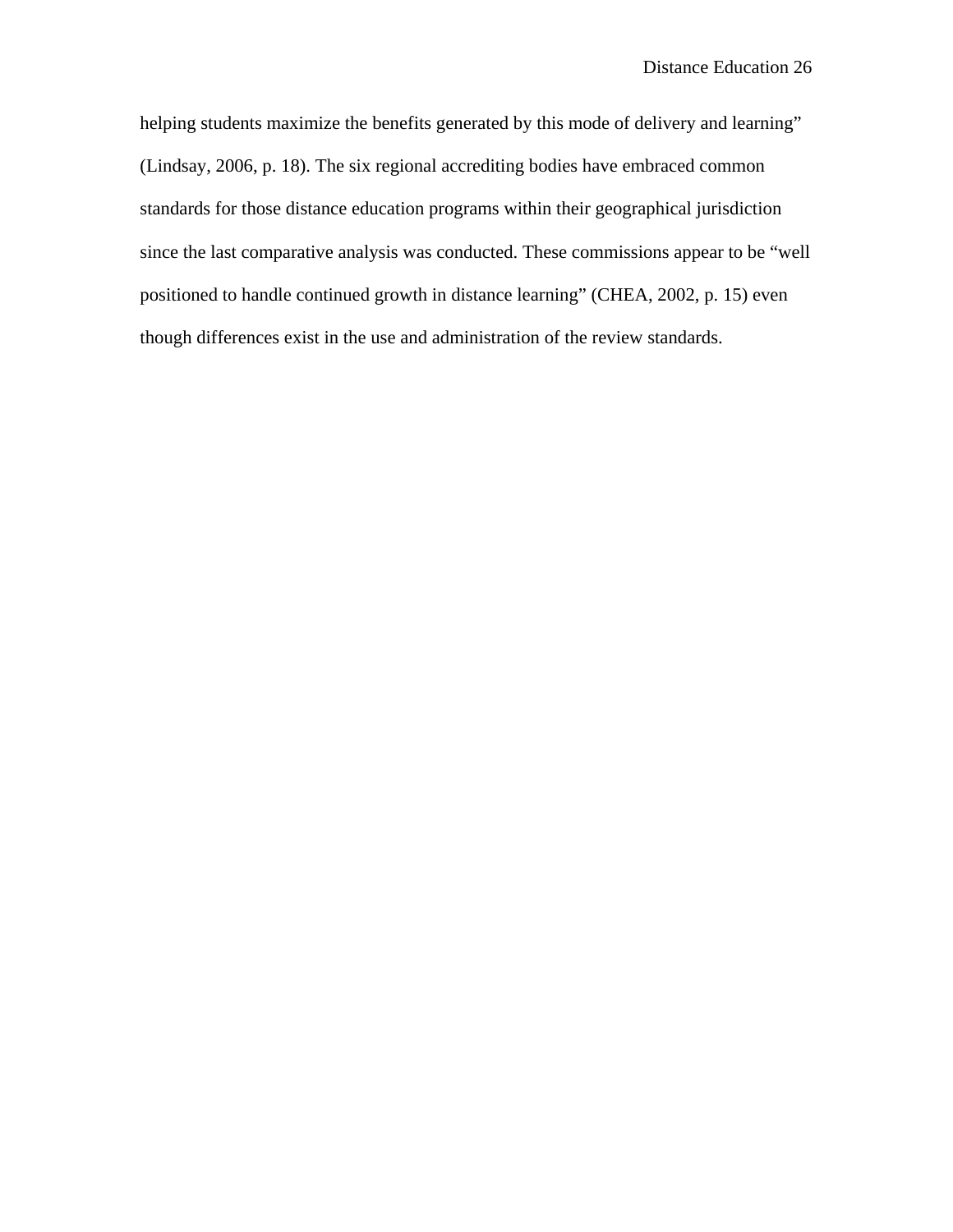helping students maximize the benefits generated by this mode of delivery and learning" (Lindsay, 2006, p. 18). The six regional accrediting bodies have embraced common standards for those distance education programs within their geographical jurisdiction since the last comparative analysis was conducted. These commissions appear to be "well positioned to handle continued growth in distance learning" (CHEA, 2002, p. 15) even though differences exist in the use and administration of the review standards.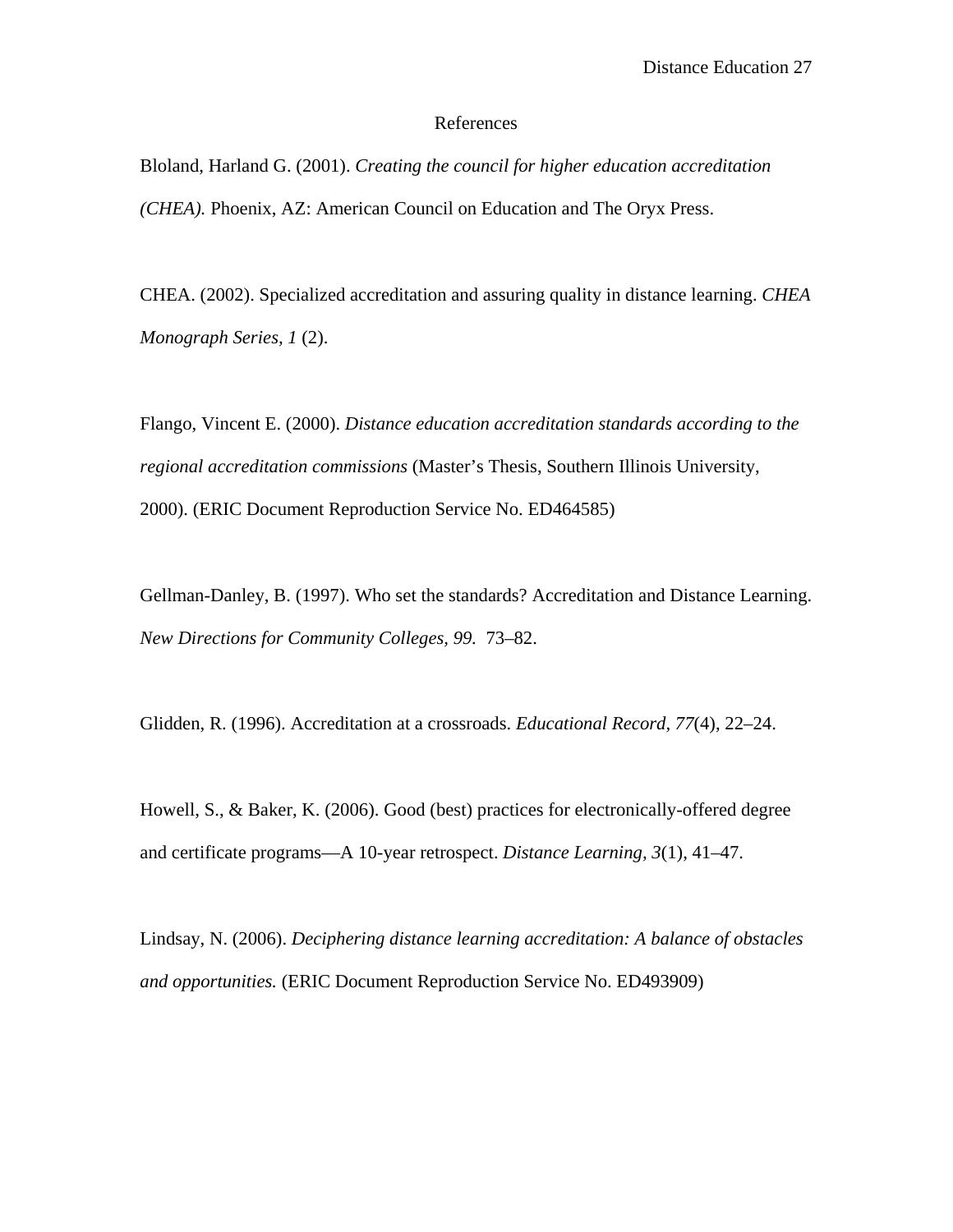#### References

Bloland, Harland G. (2001). *Creating the council for higher education accreditation (CHEA).* Phoenix, AZ: American Council on Education and The Oryx Press.

CHEA. (2002). Specialized accreditation and assuring quality in distance learning. *CHEA Monograph Series, 1* (2).

Flango, Vincent E. (2000). *Distance education accreditation standards according to the regional accreditation commissions* (Master's Thesis, Southern Illinois University, 2000). (ERIC Document Reproduction Service No. ED464585)

Gellman-Danley, B. (1997). Who set the standards? Accreditation and Distance Learning. *New Directions for Community Colleges, 99.* 73–82.

Glidden, R. (1996). Accreditation at a crossroads. *Educational Record, 77*(4), 22–24.

Howell, S., & Baker, K. (2006). Good (best) practices for electronically-offered degree and certificate programs—A 10-year retrospect. *Distance Learning, 3*(1), 41–47.

Lindsay, N. (2006). *Deciphering distance learning accreditation: A balance of obstacles and opportunities.* (ERIC Document Reproduction Service No. ED493909)